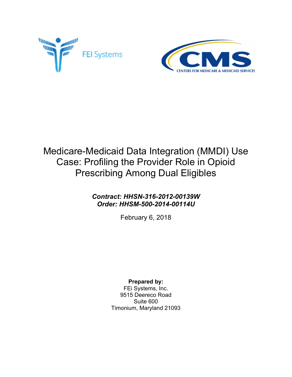



# Medicare-Medicaid Data Integration (MMDI) Use Case: Profiling the Provider Role in Opioid Prescribing Among Dual Eligibles

### *Contract: HHSN-316-2012-00139W Order: HHSM-500-2014-00114U*

February 6, 2018

### **Prepared by:**

FEi Systems, Inc. 9515 Deereco Road Suite 600 Timonium, Maryland 21093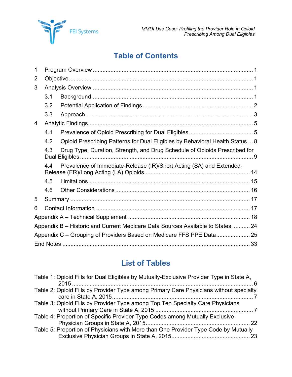

## **Table of Contents**

| 1 |     |                                                                                 |  |  |  |  |
|---|-----|---------------------------------------------------------------------------------|--|--|--|--|
| 2 |     |                                                                                 |  |  |  |  |
| 3 |     |                                                                                 |  |  |  |  |
|   | 3.1 |                                                                                 |  |  |  |  |
|   | 3.2 |                                                                                 |  |  |  |  |
|   | 3.3 |                                                                                 |  |  |  |  |
| 4 |     |                                                                                 |  |  |  |  |
|   | 4.1 |                                                                                 |  |  |  |  |
|   | 4.2 | Opioid Prescribing Patterns for Dual Eligibles by Behavioral Health Status  8   |  |  |  |  |
|   | 4.3 | Drug Type, Duration, Strength, and Drug Schedule of Opioids Prescribed for      |  |  |  |  |
|   | 4.4 | Prevalence of Immediate-Release (IR)/Short Acting (SA) and Extended-            |  |  |  |  |
|   | 4.5 |                                                                                 |  |  |  |  |
|   | 4.6 |                                                                                 |  |  |  |  |
| 5 |     |                                                                                 |  |  |  |  |
| 6 |     |                                                                                 |  |  |  |  |
|   |     |                                                                                 |  |  |  |  |
|   |     | Appendix B - Historic and Current Medicare Data Sources Available to States  24 |  |  |  |  |
|   |     | Appendix C – Grouping of Providers Based on Medicare FFS PPE Data 25            |  |  |  |  |
|   |     |                                                                                 |  |  |  |  |

## **List of Tables**

| Table 1: Opioid Fills for Dual Eligibles by Mutually-Exclusive Provider Type in State A, |
|------------------------------------------------------------------------------------------|
| Table 2: Opioid Fills by Provider Type among Primary Care Physicians without specialty   |
| Table 3: Opioid Fills by Provider Type among Top Ten Specialty Care Physicians           |
| Table 4: Proportion of Specific Provider Type Codes among Mutually Exclusive             |
| Table 5: Proportion of Physicians with More than One Provider Type Code by Mutually      |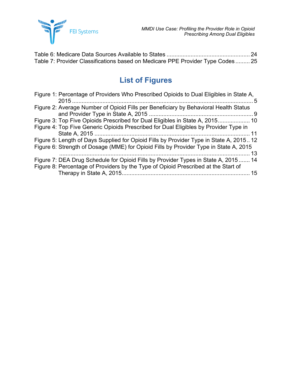

| Table 7: Provider Classifications based on Medicare PPE Provider Type Codes 25 |  |
|--------------------------------------------------------------------------------|--|

## **List of Figures**

| Figure 1: Percentage of Providers Who Prescribed Opioids to Dual Eligibles in State A,<br>$\mathbf{5}$ |
|--------------------------------------------------------------------------------------------------------|
| Figure 2: Average Number of Opioid Fills per Beneficiary by Behavioral Health Status                   |
| Figure 3: Top Five Opioids Prescribed for Dual Eligibles in State A, 2015 10                           |
| Figure 4: Top Five Generic Opioids Prescribed for Dual Eligibles by Provider Type in                   |
| Figure 5: Length of Days Supplied for Opioid Fills by Provider Type in State A, 201512                 |
| Figure 6: Strength of Dosage (MME) for Opioid Fills by Provider Type in State A, 2015                  |
|                                                                                                        |
| Figure 7: DEA Drug Schedule for Opioid Fills by Provider Types in State A, 2015 14                     |
| Figure 8: Percentage of Providers by the Type of Opioid Prescribed at the Start of                     |
|                                                                                                        |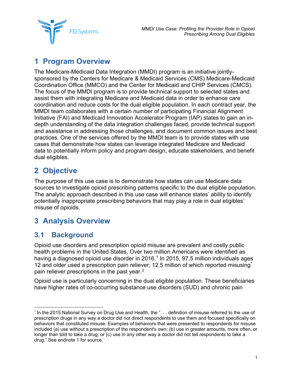**FEI Systems** 

## <span id="page-3-0"></span>**1 Program Overview**

The Medicare-Medicaid Data Integration (MMDI) program is an initiative jointlysponsored by the Centers for Medicare & Medicaid Services (CMS) Medicare-Medicaid Coordination Office (MMCO) and the Center for Medicaid and CHIP Services (CMCS). The focus of the MMDI program is to provide technical support to selected states and assist them with integrating Medicare and Medicaid data in order to enhance care coordination and reduce costs for the dual eligible population. In each contract year, the MMDI team collaborates with a certain number of participating Financial Alignment Initiative (FAI) and Medicaid Innovation Accelerator Program (IAP) states to gain an indepth understanding of the data integration challenges faced, provide technical support and assistance in addressing those challenges, and document common issues and best practices. One of the services offered by the MMDI team is to provide states with use cases that demonstrate how states can leverage integrated Medicare and Medicaid data to potentially inform policy and program design, educate stakeholders, and benefit dual eligibles.

## <span id="page-3-1"></span>**2 Objective**

The purpose of this use case is to demonstrate how states can use Medicare data sources to investigate opioid prescribing patterns specific to the dual eligible population. The analytic approach described in this use case will enhance states' ability to identify potentially inappropriate prescribing behaviors that may play a role in dual eligibles' misuse of opioids.

## <span id="page-3-2"></span>**3 Analysis Overview**

### <span id="page-3-3"></span>**3.1 Background**

Opioid use disorders and prescription opioid misuse are prevalent and costly public health problems in the United States. Over two million Americans were identified as having a diagnosed opioid use disorder in 2016. [1](#page-36-0) In 2015, 97.5 million individuals ages 12 and older used a prescription pain reliever; 12.5 million of which reported misusing<sup>[\\*](#page-3-4)</sup> pain reliever prescriptions in the past year. $^{\mathsf{2}}$  $^{\mathsf{2}}$  $^{\mathsf{2}}$ 

Opioid use is particularly concerning in the dual eligible population. These beneficiaries have higher rates of co-occurring substance use disorders (SUD) and chronic pain

<span id="page-3-4"></span> <sup>\*</sup> In the 2015 National Survey on Drug Use and Health, the ". . . definition of misuse referred to the use of prescription drugs in any way a doctor did not direct respondents to use them and focused specifically on behaviors that constituted misuse. Examples of behaviors that were presented to respondents for misuse included (a) use without a prescription of the respondent's own; (b) use in greater amounts, more often, or longer than told to take a drug; or (c) use in any other way a doctor did not tell respondents to take a drug." See endnote 1 for source.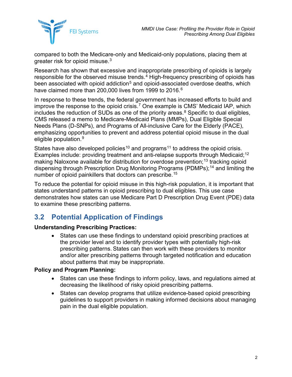

compared to both the Medicare-only and Medicaid-only populations, placing them at greater risk for opioid misuse. $^3$  $^3$ 

Research has shown that excessive and inappropriate prescribing of opioids is largely responsible for the observed misuse trends.<sup>[4](#page-36-3)</sup> High-frequency prescribing of opioids has been associated with opioid addiction<sup>[5](#page-36-4)</sup> and opioid-associated overdose deaths, which have claimed more than 200,000 lives from 1999 to 2016. [6](#page-36-5)

In response to these trends, the federal government has increased efforts to build and improve the response to the opioid crisis.<sup>[7](#page-36-6)</sup> One example is CMS' Medicaid IAP, which includes the reduction of SUDs as one of the priority areas. [8](#page-37-0) Specific to dual eligibles, CMS released a memo to Medicare-Medicaid Plans (MMPs), Dual Eligible Special Needs Plans (D-SNPs), and Programs of All-inclusive Care for the Elderly (PACE), emphasizing opportunities to prevent and address potential opioid misuse in the dual eligible population.<sup>[9](#page-37-1)</sup>

States have also developed policies<sup>[10](#page-37-2)</sup> and programs<sup>[11](#page-37-3)</sup> to address the opioid crisis. Examples include: providing treatment and anti-relapse supports through Medicaid;<sup>[12](#page-37-4)</sup> making Naloxone available for distribution for overdose prevention;<sup>[13](#page-37-5)</sup> tracking opioid dispensing through Prescription Drug Monitoring Programs (PDMPs);[14](#page-37-6) and limiting the number of opioid painkillers that doctors can prescribe.[15](#page-37-7)

To reduce the potential for opioid misuse in this high-risk population, it is important that states understand patterns in opioid prescribing to dual eligibles. This use case demonstrates how states can use Medicare Part D Prescription Drug Event (PDE) data to examine these prescribing patterns.

### <span id="page-4-0"></span>**3.2 Potential Application of Findings**

#### **Understanding Prescribing Practices:**

• States can use these findings to understand opioid prescribing practices at the provider level and to identify provider types with potentially high-risk prescribing patterns. States can then work with these providers to monitor and/or alter prescribing patterns through targeted notification and education about patterns that may be inappropriate.

#### **Policy and Program Planning:**

- States can use these findings to inform policy, laws, and regulations aimed at decreasing the likelihood of risky opioid prescribing patterns.
- States can develop programs that utilize evidence-based opioid prescribing guidelines to support providers in making informed decisions about managing pain in the dual eligible population.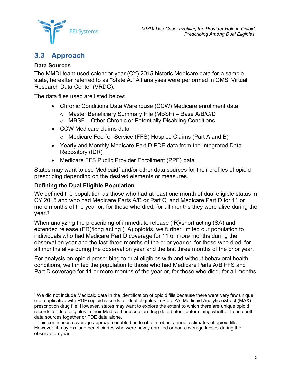

### <span id="page-5-0"></span>**3.3 Approach**

#### **Data Sources**

The MMDI team used calendar year (CY) 2015 historic Medicare data for a sample state, hereafter referred to as "State A." All analyses were performed in CMS' Virtual Research Data Center (VRDC).

The data files used are listed below:

- Chronic Conditions Data Warehouse (CCW) Medicare enrollment data
	- o Master Beneficiary Summary File (MBSF) Base A/B/C/D
	- o MBSF Other Chronic or Potentially Disabling Conditions
- CCW Medicare claims data
	- o Medicare Fee-for-Service (FFS) Hospice Claims (Part A and B)
- Yearly and Monthly Medicare Part D PDE data from the Integrated Data Repository (IDR)
- Medicare FFS Public Provider Enrollment (PPE) data

States may want to use Medicaid<sup>[\\*](#page-5-1)</sup> and/or other data sources for their profiles of opioid prescribing depending on the desired elements or measures.

#### **Defining the Dual Eligible Population**

We defined the population as those who had at least one month of dual eligible status in CY 2015 and who had Medicare Parts A/B or Part C, and Medicare Part D for 11 or more months of the year or, for those who died, for all months they were alive during the year.[†](#page-5-2)

When analyzing the prescribing of immediate release (IR)/short acting (SA) and extended release (ER)/long acting (LA) opioids, we further limited our population to individuals who had Medicare Part D coverage for 11 or more months during the observation year and the last three months of the prior year or, for those who died, for all months alive during the observation year and the last three months of the prior year.

For analysis on opioid prescribing to dual eligibles with and without behavioral health conditions, we limited the population to those who had Medicare Parts A/B FFS and Part D coverage for 11 or more months of the year or, for those who died, for all months

<span id="page-5-1"></span> <sup>\*</sup> We did not include Medicaid data in the identification of opioid fills because there were very few unique (not duplicative with PDE) opioid records for dual eligibles in State A's Medicaid Analytic eXtract (MAX) prescription drug file. However, states may want to explore the extent to which there are unique opioid records for dual eligibles in their Medicaid prescription drug data before determining whether to use both data sources together or PDE data alone.

<span id="page-5-2"></span><sup>†</sup> This continuous coverage approach enabled us to obtain robust annual estimates of opioid fills. However, it may exclude beneficiaries who were newly enrolled or had coverage lapses during the observation year.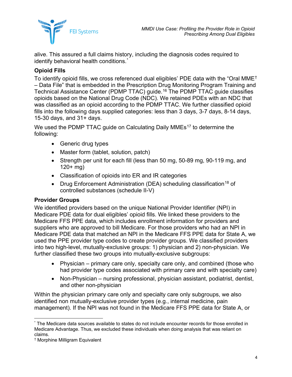

alive. This assured a full claims history, including the diagnosis codes required to identify behavioral health conditions.<sup>[\\*](#page-6-0)</sup>

#### **Opioid Fills**

To identify opioid fills, we cross referenced dual eligibles' PDE data with the "Oral MME[†](#page-6-1) – Data File" that is embedded in the Prescription Drug Monitoring Program Training and Technical Assistance Center (PDMP TTAC) guide. [16](#page-37-8) The PDMP TTAC guide classifies opioids based on the National Drug Code (NDC). We retained PDEs with an NDC that was classified as an opioid according to the PDMP TTAC. We further classified opioid fills into the following days supplied categories: less than 3 days, 3-7 days, 8-14 days, 15-30 days, and 31+ days.

We used the PDMP TTAC quide on Calculating Daily MMEs<sup>[17](#page-37-9)</sup> to determine the following:

- Generic drug types
- Master form (tablet, solution, patch)
- Strength per unit for each fill (less than 50 mg, 50-89 mg, 90-119 mg, and  $120+$  mg)
- Classification of opioids into ER and IR categories
- Drug Enforcement Administration (DEA) scheduling classification<sup>[18](#page-37-10)</sup> of controlled substances (schedule II-V)

#### **Provider Groups**

We identified providers based on the unique National Provider Identifier (NPI) in Medicare PDE data for dual eligibles' opioid fills. We linked these providers to the Medicare FFS PPE data, which includes enrollment information for providers and suppliers who are approved to bill Medicare. For those providers who had an NPI in Medicare PDE data that matched an NPI in the Medicare FFS PPE data for State A, we used the PPE provider type codes to create provider groups. We classified providers into two high-level, mutually-exclusive groups: 1) physician and 2) non-physician. We further classified these two groups into mutually-exclusive subgroups:

- Physician primary care only, specialty care only, and combined (those who had provider type codes associated with primary care and with specialty care)
- Non-Physician nursing professional, physician assistant, podiatrist, dentist, and other non-physician

Within the physician primary care only and specialty care only subgroups, we also identified non mutually-exclusive provider types (e.g., internal medicine, pain management). If the NPI was not found in the Medicare FFS PPE data for State A, or

<span id="page-6-0"></span> <sup>\*</sup> The Medicare data sources available to states do not include encounter records for those enrolled in Medicare Advantage. Thus, we excluded these individuals when doing analysis that was reliant on claims.

<span id="page-6-1"></span><sup>†</sup> Morphine Milligram Equivalent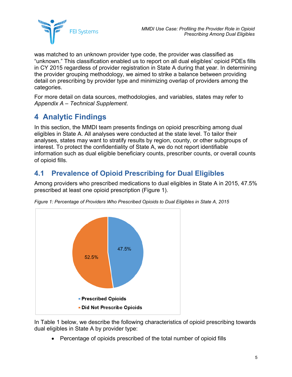

was matched to an unknown provider type code, the provider was classified as "unknown." This classification enabled us to report on all dual eligibles' opioid PDEs fills in CY 2015 regardless of provider registration in State A during that year. In determining the provider grouping methodology, we aimed to strike a balance between providing detail on prescribing by provider type and minimizing overlap of providers among the categories.

For more detail on data sources, methodologies, and variables, states may refer to *Appendix A – [Technical Supplement](#page-20-0)*.

## <span id="page-7-0"></span>**4 Analytic Findings**

In this section, the MMDI team presents findings on opioid prescribing among dual eligibles in State A. All analyses were conducted at the state level. To tailor their analyses, states may want to stratify results by region, county, or other subgroups of interest. To protect the confidentiality of State A, we do not report identifiable information such as dual eligible beneficiary counts, prescriber counts, or overall counts of opioid fills.

### <span id="page-7-1"></span>**4.1 Prevalence of Opioid Prescribing for Dual Eligibles**

Among providers who prescribed medications to dual eligibles in State A in 2015, 47.5% prescribed at least one opioid prescription [\(Figure 1\)](#page-7-2).



<span id="page-7-2"></span>*Figure 1: Percentage of Providers Who Prescribed Opioids to Dual Eligibles in State A, 2015*

In [Table 1](#page-8-0) below, we describe the following characteristics of opioid prescribing towards dual eligibles in State A by provider type:

• Percentage of opioids prescribed of the total number of opioid fills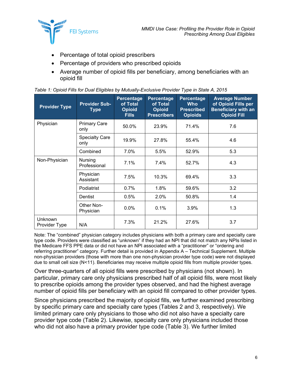

- Percentage of total opioid prescribers
- Percentage of providers who prescribed opioids
- Average number of opioid fills per beneficiary, among beneficiaries with an opioid fill

| <b>Provider Type</b>     | <b>Provider Sub-</b><br><b>Type</b> | Percentage<br>of Total<br><b>Opioid</b><br><b>Fills</b> | Percentage<br>of Total<br><b>Opioid</b><br><b>Prescribers</b> | Percentage<br><b>Who</b><br><b>Prescribed</b><br><b>Opioids</b> | <b>Average Number</b><br>of Opioid Fills per<br><b>Beneficiary with an</b><br><b>Opioid Fill</b> |
|--------------------------|-------------------------------------|---------------------------------------------------------|---------------------------------------------------------------|-----------------------------------------------------------------|--------------------------------------------------------------------------------------------------|
| Physician                | <b>Primary Care</b><br>only         | 50.0%                                                   | 23.9%                                                         | 71.4%                                                           | 7.6                                                                                              |
|                          | <b>Specialty Care</b><br>only       | 19.9%                                                   | 27.8%                                                         | 55.4%                                                           | 4.6                                                                                              |
|                          | Combined                            | 7.0%                                                    | 5.5%                                                          | 52.9%                                                           | 5.3                                                                                              |
| Non-Physician            | Nursing<br>Professional             | 7.1%                                                    | $7.4\%$                                                       | 52.7%                                                           | 4.3                                                                                              |
|                          | Physician<br>Assistant              | 7.5%                                                    | 10.3%                                                         | 69.4%                                                           | 3.3                                                                                              |
|                          | Podiatrist                          | 0.7%                                                    | 1.8%                                                          | 59.6%                                                           | 3.2                                                                                              |
|                          | <b>Dentist</b>                      | 0.5%                                                    | 2.0%                                                          | 50.8%                                                           | 1.4                                                                                              |
|                          | Other Non-<br>Physician             | 0.0%                                                    | 0.1%                                                          | 3.9%                                                            | 1.3                                                                                              |
| Unknown<br>Provider Type | N/A                                 | 7.3%                                                    | 21.2%                                                         | 27.6%                                                           | 3.7                                                                                              |

<span id="page-8-0"></span>

|  |  | Table 1: Opioid Fills for Dual Eligibles by Mutually-Exclusive Provider Type in State A, 2015 |  |  |
|--|--|-----------------------------------------------------------------------------------------------|--|--|
|  |  |                                                                                               |  |  |
|  |  |                                                                                               |  |  |

Over three-quarters of all opioid fills were prescribed by physicians (not shown). In particular, primary care only physicians prescribed half of all opioid fills, were most likely to prescribe opioids among the provider types observed, and had the highest average number of opioid fills per beneficiary with an opioid fill compared to other provider types.

Since physicians prescribed the majority of opioid fills, we further examined prescribing by specific primary care and specialty care types (Tables 2 and 3, respectively). We limited primary care only physicians to those who did not also have a specialty care provider type code (Table 2). Likewise, specialty care only physicians included those who did not also have a primary provider type code (Table 3). We further limited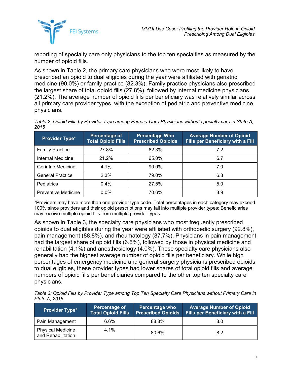

reporting of specialty care only physicians to the top ten specialties as measured by the number of opioid fills.

As shown in [Table 2,](#page-9-0) the primary care physicians who were most likely to have prescribed an opioid to dual eligibles during the year were affiliated with geriatric medicine (90.0%) or family practice (82.3%). Family practice physicians also prescribed the largest share of total opioid fills (27.8%), followed by internal medicine physicians (21.2%). The average number of opioid fills per beneficiary was relatively similar across all primary care provider types, with the exception of pediatric and preventive medicine physicians.

<span id="page-9-0"></span>*Table 2: Opioid Fills by Provider Type among Primary Care Physicians without specialty care in State A, 2015*

| <b>Provider Type*</b>      | Percentage of<br><b>Total Opioid Fills</b> | <b>Percentage Who</b><br><b>Prescribed Opioids</b> | <b>Average Number of Opioid</b><br><b>Fills per Beneficiary with a Fill</b> |
|----------------------------|--------------------------------------------|----------------------------------------------------|-----------------------------------------------------------------------------|
| <b>Family Practice</b>     | 27.8%                                      | 82.3%                                              | 7.2                                                                         |
| Internal Medicine          | 21.2%                                      | 65.0%                                              | 6.7                                                                         |
| Geriatric Medicine         | 4.1%                                       | 90.0%                                              | 7.0                                                                         |
| <b>General Practice</b>    | 2.3%                                       | 79.0%                                              | 6.8                                                                         |
| Pediatrics                 | 0.4%                                       | 27.5%                                              | 5.0                                                                         |
| <b>Preventive Medicine</b> | $0.0\%$                                    | 70.6%                                              | 3.9                                                                         |

\*Providers may have more than one provider type code. Total percentages in each category may exceed 100% since providers and their opioid prescriptions may fall into multiple provider types; Beneficiaries may receive multiple opioid fills from multiple provider types.

As shown in [Table](#page-9-1) 3, the specialty care physicians who most frequently prescribed opioids to dual eligibles during the year were affiliated with orthopedic surgery (92.8%), pain management (88.8%), and rheumatology (87.7%). Physicians in pain management had the largest share of opioid fills (6.6%), followed by those in physical medicine and rehabilitation (4.1%) and anesthesiology (4.0%). These specialty care physicians also generally had the highest average number of opioid fills per beneficiary. While high percentages of emergency medicine and general surgery physicians prescribed opioids to dual eligibles, these provider types had lower shares of total opioid fills and average numbers of opioid fills per beneficiaries compared to the other top ten specialty care physicians.

<span id="page-9-1"></span>*Table 3: Opioid Fills by Provider Type among Top Ten Specialty Care Physicians without Primary Care in State A, 2015*

| <b>Provider Type*</b>                          | Percentage of<br><b>Total Opioid Fills</b> | <b>Percentage who</b><br><b>Prescribed Opioids</b> | <b>Average Number of Opioid</b><br><b>Fills per Beneficiary with a Fill</b> |
|------------------------------------------------|--------------------------------------------|----------------------------------------------------|-----------------------------------------------------------------------------|
| Pain Management                                | $6.6\%$                                    | 88.8%                                              | 8.0                                                                         |
| <b>Physical Medicine</b><br>and Rehabilitation | 4.1%                                       | 80.6%                                              | 8.2                                                                         |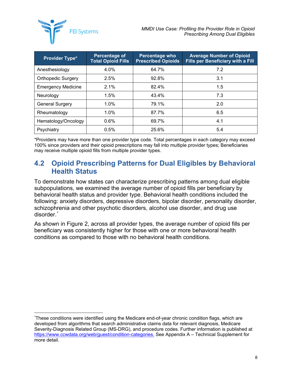

| <b>Provider Type*</b>     | Percentage of<br><b>Total Opioid Fills</b> | Percentage who<br><b>Prescribed Opioids</b> | <b>Average Number of Opioid</b><br><b>Fills per Beneficiary with a Fill</b> |
|---------------------------|--------------------------------------------|---------------------------------------------|-----------------------------------------------------------------------------|
| Anesthesiology            | 4.0%                                       | 64.7%                                       | 7.2                                                                         |
| <b>Orthopedic Surgery</b> | 2.5%                                       | 92.8%                                       | 3.1                                                                         |
| <b>Emergency Medicine</b> | 2.1%                                       | 82.4%                                       | 1.5                                                                         |
| Neurology                 | 1.5%                                       | 43.4%                                       | 7.3                                                                         |
| <b>General Surgery</b>    | 1.0%                                       | 79.1%                                       | 2.0                                                                         |
| Rheumatology              | 1.0%                                       | 87.7%                                       | 6.5                                                                         |
| Hematology/Oncology       | 0.6%                                       | 69.7%                                       | 4.1                                                                         |
| Psychiatry                | 0.5%                                       | 25.6%                                       | 5.4                                                                         |

\*Providers may have more than one provider type code. Total percentages in each category may exceed 100% since providers and their opioid prescriptions may fall into multiple provider types; Beneficiaries may receive multiple opioid fills from multiple provider types.

### <span id="page-10-0"></span>**4.2 Opioid Prescribing Patterns for Dual Eligibles by Behavioral Health Status**

To demonstrate how states can characterize prescribing patterns among dual eligible subpopulations, we examined the average number of opioid fills per beneficiary by behavioral health status and provider type. Behavioral health conditions included the following: anxiety disorders, depressive disorders, bipolar disorder, personality disorder, schizophrenia and other psychotic disorders, alcohol use disorder, and drug use disorder. [\\*](#page-10-1)

As shown in [Figure 2,](#page-11-1) across all provider types, the average number of opioid fills per beneficiary was consistently higher for those with one or more behavioral health conditions as compared to those with no behavioral health conditions.

<span id="page-10-1"></span> <sup>\*</sup> These conditions were identified using the Medicare end-of-year chronic condition flags, which are developed from algorithms that search administrative claims data for relevant diagnosis, Medicare Severity-Diagnosis Related Group (MS-DRG), and procedure codes. Further information is published at [https://www.ccwdata.org/web/guest/condition-categories.](https://www.ccwdata.org/web/guest/condition-categories) See Appendix A – Technical Supplement for more detail.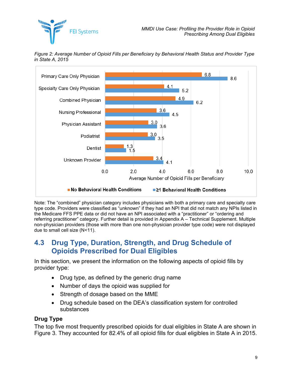



<span id="page-11-1"></span>*Figure 2: Average Number of Opioid Fills per Beneficiary by Behavioral Health Status and Provider Type in State A, 2015*

### <span id="page-11-0"></span>**4.3 Drug Type, Duration, Strength, and Drug Schedule of Opioids Prescribed for Dual Eligibles**

In this section, we present the information on the following aspects of opioid fills by provider type:

- Drug type, as defined by the generic drug name
- Number of days the opioid was supplied for
- Strength of dosage based on the MME
- Drug schedule based on the DEA's classification system for controlled substances

#### **Drug Type**

The top five most frequently prescribed opioids for dual eligibles in State A are shown in [Figure](#page-12-0) 3. They accounted for 82.4% of all opioid fills for dual eligibles in State A in 2015.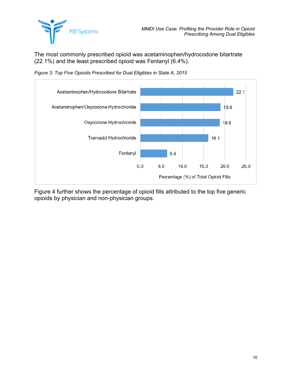

The most commonly prescribed opioid was acetaminophen/hydrocodone bitartrate (22.1%) and the least prescribed opioid was Fentanyl (6.4%).

<span id="page-12-0"></span>*Figure 3: Top Five Opioids Prescribed for Dual Eligibles in State A, 2015*



[Figure](#page-13-0) 4 further shows the percentage of opioid fills attributed to the top five generic opioids by physician and non-physician groups.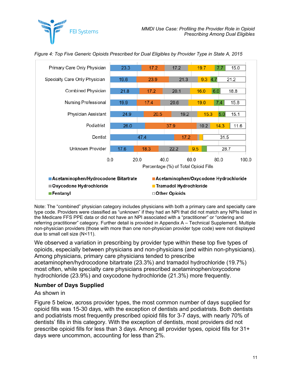

<span id="page-13-0"></span>*Figure 4: Top Five Generic Opioids Prescribed for Dual Eligibles by Provider Type in State A, 2015*

**FEI Systems** 

Note: The "combined" physician category includes physicians with both a primary care and specialty care type code. Providers were classified as "unknown" if they had an NPI that did not match any NPIs listed in the Medicare FFS PPE data or did not have an NPI associated with a "practitioner" or "ordering and referring practitioner" category. Further detail is provided in Appendix A – Technical Supplement. Multiple non-physician providers (those with more than one non-physician provider type code) were not displayed due to small cell size (N<11).

We observed a variation in prescribing by provider type within these top five types of opioids, especially between physicians and non-physicians (and within non-physicians). Among physicians, primary care physicians tended to prescribe

acetaminophen/hydrocodone bitartrate (23.3%) and tramadol hydrochloride (19.7%) most often, while specialty care physicians prescribed acetaminophen/oxycodone hydrochloride (23.9%) and oxycodone hydrochloride (21.3%) more frequently.

#### **Number of Days Supplied**

#### As shown in

<span id="page-13-1"></span>[Figure](#page-13-1) 5 below, across provider types, the most common number of days supplied for opioid fills was 15-30 days, with the exception of dentists and podiatrists. Both dentists and podiatrists most frequently prescribed opioid fills for 3-7 days, with nearly 70% of dentists' fills in this category. With the exception of dentists, most providers did not prescribe opioid fills for less than 3 days. Among all provider types, opioid fills for 31+ days were uncommon, accounting for less than 2%.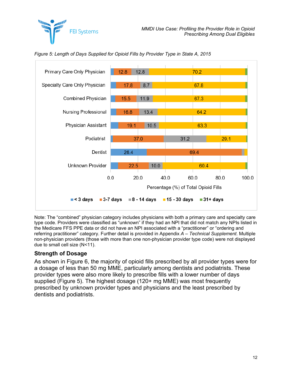



<span id="page-14-0"></span>*Figure 5: Length of Days Supplied for Opioid Fills by Provider Type in State A, 2015*

#### **Strength of Dosage**

As shown in [Figure](#page-15-0) 6, the majority of opioid fills prescribed by all provider types were for a dosage of less than 50 mg MME, particularly among dentists and podiatrists. These provider types were also more likely to prescribe fills with a lower number of days supplied [\(Figure](#page-14-0) 5). The highest dosage (120+ mg MME) was most frequently prescribed by unknown provider types and physicians and the least prescribed by dentists and podiatrists.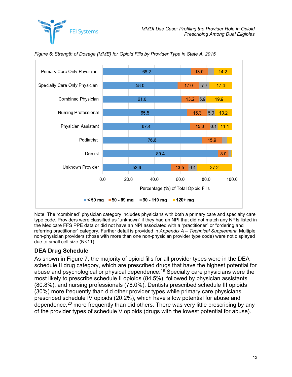



<span id="page-15-0"></span>*Figure 6: Strength of Dosage (MME) for Opioid Fills by Provider Type in State A, 2015*

#### **DEA Drug Schedule**

As shown in [Figure](#page-16-1) 7, the majority of opioid fills for all provider types were in the DEA schedule II drug category, which are prescribed drugs that have the highest potential for abuse and psychological or physical dependence.<sup>[19](#page-37-11)</sup> Specialty care physicians were the most likely to prescribe schedule II opioids (84.5%), followed by physician assistants (80.8%), and nursing professionals (78.0%). Dentists prescribed schedule III opioids (30%) more frequently than did other provider types while primary care physicians prescribed schedule IV opioids (20.2%), which have a low potential for abuse and dependence,<sup>[20](#page-37-12)</sup> more frequently than did others. There was very little prescribing by any of the provider types of schedule V opioids (drugs with the lowest potential for abuse).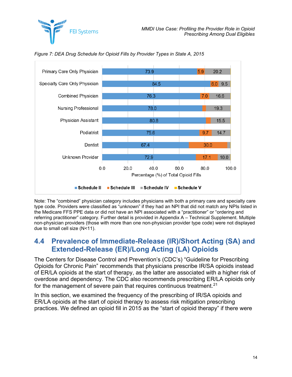



<span id="page-16-1"></span>*Figure 7: DEA Drug Schedule for Opioid Fills by Provider Types in State A, 2015*

### <span id="page-16-0"></span>**4.4 Prevalence of Immediate-Release (IR)/Short Acting (SA) and Extended-Release (ER)/Long Acting (LA) Opioids**

The Centers for Disease Control and Prevention's (CDC's) "Guideline for Prescribing Opioids for Chronic Pain" recommends that physicians prescribe IR/SA opioids instead of ER/LA opioids at the start of therapy, as the latter are associated with a higher risk of overdose and dependency. The CDC also recommends prescribing ER/LA opioids only for the management of severe pain that requires continuous treatment. [21](#page-37-13)

In this section, we examined the frequency of the prescribing of IR/SA opioids and ER/LA opioids at the start of opioid therapy to assess risk mitigation prescribing practices. We defined an opioid fill in 2015 as the "start of opioid therapy" if there were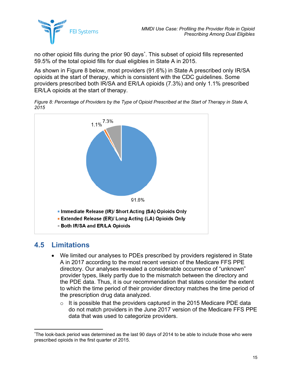

no other opioid fills during the prior 90 days[\\*](#page-17-2) . This subset of opioid fills represented 59.5% of the total opioid fills for dual eligibles in State A in 2015.

As shown in [Figure](#page-17-1) 8 below, most providers (91.6%) in State A prescribed only IR/SA opioids at the start of therapy, which is consistent with the CDC guidelines. Some providers prescribed both IR/SA and ER/LA opioids (7.3%) and only 1.1% prescribed ER/LA opioids at the start of therapy.

<span id="page-17-1"></span>*Figure 8: Percentage of Providers by the Type of Opioid Prescribed at the Start of Therapy in State A, 2015*



### <span id="page-17-0"></span>**4.5 Limitations**

- We limited our analyses to PDEs prescribed by providers registered in State A in 2017 according to the most recent version of the Medicare FFS PPE directory. Our analyses revealed a considerable occurrence of "unknown" provider types, likely partly due to the mismatch between the directory and the PDE data. Thus, it is our recommendation that states consider the extent to which the time period of their provider directory matches the time period of the prescription drug data analyzed.
	- $\circ$  It is possible that the providers captured in the 2015 Medicare PDE data do not match providers in the June 2017 version of the Medicare FFS PPE data that was used to categorize providers.

<span id="page-17-2"></span> <sup>\*</sup> The look-back period was determined as the last 90 days of 2014 to be able to include those who were prescribed opioids in the first quarter of 2015.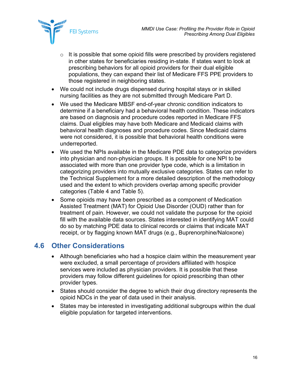

- $\circ$  It is possible that some opioid fills were prescribed by providers registered in other states for beneficiaries residing in-state. If states want to look at prescribing behaviors for all opioid providers for their dual eligible populations, they can expand their list of Medicare FFS PPE providers to those registered in neighboring states.
- We could not include drugs dispensed during hospital stays or in skilled nursing facilities as they are not submitted through Medicare Part D.
- We used the Medicare MBSF end-of-year chronic condition indicators to determine if a beneficiary had a behavioral health condition. These indicators are based on diagnosis and procedure codes reported in Medicare FFS claims. Dual eligibles may have both Medicare and Medicaid claims with behavioral health diagnoses and procedure codes. Since Medicaid claims were not considered, it is possible that behavioral health conditions were underreported.
- We used the NPIs available in the Medicare PDE data to categorize providers into physician and non-physician groups. It is possible for one NPI to be associated with more than one provider type code, which is a limitation in categorizing providers into mutually exclusive categories. States can refer to the Technical Supplement for a more detailed description of the methodology used and the extent to which providers overlap among specific provider categories [\(Table](#page-24-0) 4 and [Table](#page-25-0) 5).
- Some opioids may have been prescribed as a component of Medication Assisted Treatment (MAT) for Opioid Use Disorder (OUD) rather than for treatment of pain. However, we could not validate the purpose for the opioid fill with the available data sources. States interested in identifying MAT could do so by matching PDE data to clinical records or claims that indicate MAT receipt, or by flagging known MAT drugs (e.g., Buprenorphine/Naloxone)

### <span id="page-18-0"></span>**4.6 Other Considerations**

- Although beneficiaries who had a hospice claim within the measurement year were excluded, a small percentage of providers affiliated with hospice services were included as physician providers. It is possible that these providers may follow different guidelines for opioid prescribing than other provider types.
- States should consider the degree to which their drug directory represents the opioid NDCs in the year of data used in their analysis.
- States may be interested in investigating additional subgroups within the dual eligible population for targeted interventions.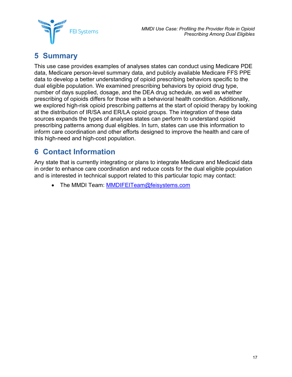



## <span id="page-19-0"></span>**5 Summary**

This use case provides examples of analyses states can conduct using Medicare PDE data, Medicare person-level summary data, and publicly available Medicare FFS PPE data to develop a better understanding of opioid prescribing behaviors specific to the dual eligible population. We examined prescribing behaviors by opioid drug type, number of days supplied, dosage, and the DEA drug schedule, as well as whether prescribing of opioids differs for those with a behavioral health condition. Additionally, we explored high-risk opioid prescribing patterns at the start of opioid therapy by looking at the distribution of IR/SA and ER/LA opioid groups. The integration of these data sources expands the types of analyses states can perform to understand opioid prescribing patterns among dual eligibles. In turn, states can use this information to inform care coordination and other efforts designed to improve the health and care of this high-need and high-cost population.

## <span id="page-19-1"></span>**6 Contact Information**

Any state that is currently integrating or plans to integrate Medicare and Medicaid data in order to enhance care coordination and reduce costs for the dual eligible population and is interested in technical support related to this particular topic may contact:

• The MMDI Team: [MMDIFEITeam@feisystems.com](mailto:MMDIFEITeam@feisystems.com)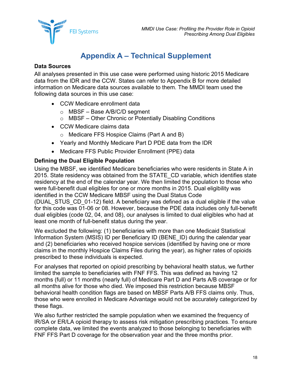

## **Appendix A – Technical Supplement**

#### <span id="page-20-0"></span>**Data Sources**

All analyses presented in this use case were performed using historic 2015 Medicare data from the IDR and the CCW. States can refer to Appendix B for more detailed information on Medicare data sources available to them. The MMDI team used the following data sources in this use case:

- CCW Medicare enrollment data
	- o MBSF Base A/B/C/D segment

least one month of full-benefit status during the year.

- o MBSF Other Chronic or Potentially Disabling Conditions
- CCW Medicare claims data
	- o Medicare FFS Hospice Claims (Part A and B)
- Yearly and Monthly Medicare Part D PDE data from the IDR
- Medicare FFS Public Provider Enrollment (PPE) data

#### **Defining the Dual Eligible Population**

Using the MBSF, we identified Medicare beneficiaries who were residents in State A in 2015. State residency was obtained from the STATE\_CD variable, which identifies state residency at the end of the calendar year. We then limited the population to those who were full-benefit dual eligibles for one or more months in 2015. Dual eligibility was identified in the CCW Medicare MBSF using the Dual Status Code (DUAL\_STUS\_CD\_01-12) field. A beneficiary was defined as a dual eligible if the value for this code was 01-06 or 08. However, because the PDE data includes only full-benefit dual eligibles (code 02, 04, and 08), our analyses is limited to dual eligibles who had at

We excluded the following: (1) beneficiaries with more than one Medicaid Statistical Information System (MSIS) ID per Beneficiary ID (BENE\_ID) during the calendar year and (2) beneficiaries who received hospice services (identified by having one or more claims in the monthly Hospice Claims Files during the year), as higher rates of opioids prescribed to these individuals is expected.

For analyses that reported on opioid prescribing by behavioral health status, we further limited the sample to beneficiaries with FNF FFS. This was defined as having 12 months (full) or 11 months (nearly full) of Medicare Part D and Parts A/B coverage or for all months alive for those who died. We imposed this restriction because MBSF behavioral health condition flags are based on MBSF Parts A/B FFS claims only. Thus, those who were enrolled in Medicare Advantage would not be accurately categorized by these flags.

We also further restricted the sample population when we examined the frequency of IR/SA or ER/LA opioid therapy to assess risk mitigation prescribing practices. To ensure complete data, we limited the events analyzed to those belonging to beneficiaries with FNF FFS Part D coverage for the observation year and the three months prior.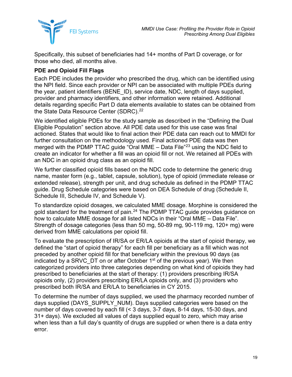

Specifically, this subset of beneficiaries had 14+ months of Part D coverage, or for those who died, all months alive.

#### **PDE and Opioid Fill Flags**

Each PDE includes the provider who prescribed the drug, which can be identified using the NPI field. Since each provider or NPI can be associated with multiple PDEs during the year, patient identifiers (BENE\_ID), service date, NDC, length of days supplied, provider and pharmacy identifiers, and other information were retained. Additional details regarding specific Part D data elements available to states can be obtained from the State Data Resource Center (SDRC).<sup>[22](#page-37-14)</sup>

We identified eligible PDEs for the study sample as described in the "Defining the Dual Eligible Population" section above. All PDE data used for this use case was final actioned. States that would like to final action their PDE data can reach out to MMDI for further consultation on the methodology used. Final actioned PDE data was then merged with the PDMP TTAC guide "Oral MME – Data File"<sup>[23](#page-37-3)</sup> using the NDC field to create an indicator for whether a fill was an opioid fill or not. We retained all PDEs with an NDC in an opioid drug class as an opioid fill.

We further classified opioid fills based on the NDC code to determine the generic drug name, master form (e.g., tablet, capsule, solution), type of opioid (immediate release or extended release), strength per unit, and drug schedule as defined in the PDMP TTAC guide. Drug Schedule categories were based on DEA Schedule of drug (Schedule II, Schedule III, Schedule IV, and Schedule V).

To standardize opioid dosages, we calculated MME dosage. Morphine is considered the gold standard for the treatment of pain.<sup>[24](#page-37-15)</sup> The PDMP TTAC guide provides guidance on how to calculate MME dosage for all listed NDCs in their "Oral MME – Data File". Strength of dosage categories (less than 50 mg, 50-89 mg, 90-119 mg, 120+ mg) were derived from MME calculations per opioid fill.

To evaluate the prescription of IR/SA or ER/LA opioids at the start of opioid therapy, we defined the "start of opioid therapy" for each fill per beneficiary as a fill which was not preceded by another opioid fill for that beneficiary within the previous 90 days (as indicated by a SRVC DT on or after October  $1<sup>st</sup>$  of the previous year). We then categorized providers into three categories depending on what kind of opioids they had prescribed to beneficiaries at the start of therapy: (1) providers prescribing IR/SA opioids only, (2) providers prescribing ER/LA opioids only, and (3) providers who prescribed both IR/SA and ER/LA to beneficiaries in CY 2015.

To determine the number of days supplied, we used the pharmacy recorded number of days supplied (DAYS\_SUPPLY\_NUM). Days supplied categories were based on the number of days covered by each fill (< 3 days, 3-7 days, 8-14 days, 15-30 days, and 31+ days). We excluded all values of days supplied equal to zero, which may arise when less than a full day's quantity of drugs are supplied or when there is a data entry error.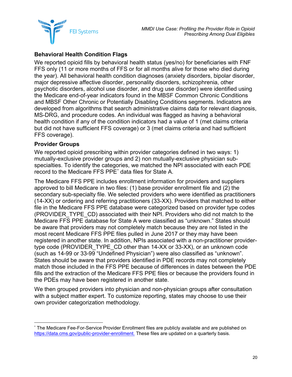

#### **Behavioral Health Condition Flags**

We reported opioid fills by behavioral health status (yes/no) for beneficiaries with FNF FFS only (11 or more months of FFS or for all months alive for those who died during the year). All behavioral health condition diagnoses (anxiety disorders, bipolar disorder, major depressive affective disorder, personality disorders, schizophrenia, other psychotic disorders, alcohol use disorder, and drug use disorder) were identified using the Medicare end-of-year indicators found in the MBSF Common Chronic Conditions and MBSF Other Chronic or Potentially Disabling Conditions segments. Indicators are developed from algorithms that search administrative claims data for relevant diagnosis, MS-DRG, and procedure codes. An individual was flagged as having a behavioral health condition if any of the condition indicators had a value of 1 (met claims criteria but did not have sufficient FFS coverage) or 3 (met claims criteria and had sufficient FFS coverage).

#### **Provider Groups**

We reported opioid prescribing within provider categories defined in two ways: 1) mutually-exclusive provider groups and 2) non mutually-exclusive physician subspecialties. To identify the categories, we matched the NPI associated with each PDE record to the Medicare FFS PPE[\\*](#page-22-0) data files for State A.

The Medicare FFS PPE includes enrollment information for providers and suppliers approved to bill Medicare in two files: (1) base provider enrollment file and (2) the secondary sub-specialty file. We selected providers who were identified as practitioners (14-XX) or ordering and referring practitioners (33-XX). Providers that matched to either file in the Medicare FFS PPE database were categorized based on provider type codes (PROVIDER\_TYPE\_CD) associated with their NPI. Providers who did not match to the Medicare FFS PPE database for State A were classified as "unknown." States should be aware that providers may not completely match because they are not listed in the most recent Medicare FFS PPE files pulled in June 2017 or they may have been registered in another state. In addition, NPIs associated with a non-practitioner providertype code (PROVIDER\_TYPE\_CD other than 14-XX or 33-XX), or an unknown code (such as 14-99 or 33-99 "Undefined Physician") were also classified as "unknown". States should be aware that providers identified in PDE records may not completely match those included in the FFS PPE because of differences in dates between the PDE fills and the extraction of the Medicare FFS PPE files or because the providers found in the PDEs may have been registered in another state.

We then grouped providers into physician and non-physician groups after consultation with a subject matter expert. To customize reporting, states may choose to use their own provider categorization methodology.

<span id="page-22-0"></span> <sup>\*</sup> The Medicare Fee-For-Service Provider Enrollment files are publicly available and are published on [https://data.cms.gov/public-provider-enrollment.](https://data.cms.gov/public-provider-enrollment) These files are updated on a quarterly basis.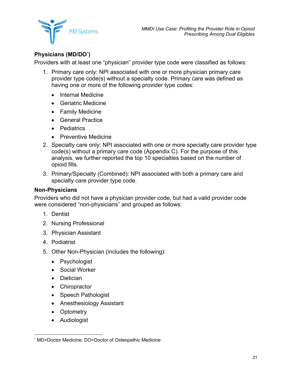

#### **Physicians (MD/DO[\\*](#page-23-0) )**

Providers with at least one "physician" provider type code were classified as follows:

- 1. Primary care only: NPI associated with one or more physician primary care provider type code(s) without a specialty code. Primary care was defined as having one or more of the following provider type codes:
	- Internal Medicine
	- Geriatric Medicine
	- Family Medicine
	- General Practice
	- Pediatrics
	- Preventive Medicine
- 2. Specialty care only: NPI associated with one or more specialty care provider type code(s) without a primary care code (Appendix C). For the purpose of this analysis, we further reported the top 10 specialties based on the number of opioid fills.
- 3. Primary/Specialty (Combined): NPI associated with both a primary care and specialty care provider type code.

#### **Non-Physicians**

Providers who did not have a physician provider code, but had a valid provider code were considered "non-physicians" and grouped as follows:

- 1. Dentist
- 2. Nursing Professional
- 3. Physician Assistant
- 4. Podiatrist
- 5. Other Non-Physician (includes the following):
	- Psychologist
	- Social Worker
	- Dietician
	- Chiropractor
	- Speech Pathologist
	- Anesthesiology Assistant
	- Optometry
	- Audiologist

<span id="page-23-0"></span> <sup>\*</sup> MD=Doctor Medicine; DO=Doctor of Osteopathic Medicine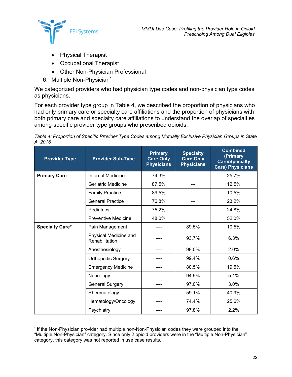

- Physical Therapist
- Occupational Therapist
- Other Non-Physician Professional
- 6. Multiple Non-Physician<sup>[\\*](#page-24-1)</sup>

We categorized providers who had physician type codes and non-physician type codes as physicians.

For each provider type group in [Table](#page-24-0) 4, we described the proportion of physicians who had only primary care or specialty care affiliations and the proportion of physicians with both primary care and specialty care affiliations to understand the overlap of specialties among specific provider type groups who prescribed opioids.

<span id="page-24-0"></span>*Table 4: Proportion of Specific Provider Type Codes among Mutually Exclusive Physician Groups in State A, 2015*

| <b>Provider Type</b>   | <b>Provider Sub-Type</b>                | <b>Primary</b><br><b>Care Only</b><br><b>Physicians</b> | <b>Specialty</b><br><b>Care Only</b><br><b>Physicians</b> | <b>Combined</b><br>(Primary<br><b>Care/Specialty</b><br><b>Care) Physicians</b> |
|------------------------|-----------------------------------------|---------------------------------------------------------|-----------------------------------------------------------|---------------------------------------------------------------------------------|
| <b>Primary Care</b>    | Internal Medicine                       | 74.3%                                                   |                                                           | 25.7%                                                                           |
|                        | Geriatric Medicine                      | 87.5%                                                   |                                                           | 12.5%                                                                           |
|                        | <b>Family Practice</b>                  | 89.5%                                                   |                                                           | 10.5%                                                                           |
|                        | <b>General Practice</b>                 | 76.8%                                                   |                                                           | 23.2%                                                                           |
|                        | Pediatrics                              | 75.2%                                                   | ---                                                       | 24.8%                                                                           |
|                        | Preventive Medicine                     | 48.0%                                                   |                                                           | 52.0%                                                                           |
| <b>Specialty Care*</b> | Pain Management                         |                                                         | 89.5%                                                     | 10.5%                                                                           |
|                        | Physical Medicine and<br>Rehabilitation |                                                         | 93.7%                                                     | 6.3%                                                                            |
|                        | Anesthesiology                          |                                                         | 98.0%                                                     | 2.0%                                                                            |
|                        | <b>Orthopedic Surgery</b>               |                                                         | 99.4%                                                     | 0.6%                                                                            |
|                        | <b>Emergency Medicine</b>               |                                                         | 80.5%                                                     | 19.5%                                                                           |
|                        | Neurology                               |                                                         | 94.9%                                                     | 5.1%                                                                            |
|                        | <b>General Surgery</b>                  |                                                         | 97.0%                                                     | 3.0%                                                                            |
|                        | Rheumatology                            |                                                         | 59.1%                                                     | 40.9%                                                                           |
|                        | Hematology/Oncology                     |                                                         | 74.4%                                                     | 25.6%                                                                           |
|                        | Psychiatry                              |                                                         | 97.8%                                                     | 2.2%                                                                            |

<span id="page-24-1"></span> <sup>\*</sup> If the Non-Physician provider had multiple non-Non-Physician codes they were grouped into the "Multiple Non-Physician" category. Since only 2 opioid providers were in the "Multiple Non-Physician" category, this category was not reported in use case results.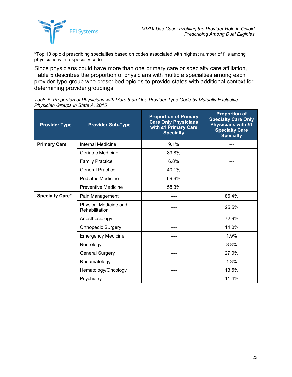

\*Top 10 opioid prescribing specialties based on codes associated with highest number of fills among physicians with a specialty code.

Since physicians could have more than one primary care or specialty care affiliation, [Table](#page-25-0) 5 describes the proportion of physicians with multiple specialties among each provider type group who prescribed opioids to provide states with additional context for determining provider groupings.

<span id="page-25-0"></span>

| Table 5: Proportion of Physicians with More than One Provider Type Code by Mutually Exclusive |  |
|-----------------------------------------------------------------------------------------------|--|
| Physician Groups in State A, 2015                                                             |  |

| <b>Provider Type</b>   | <b>Provider Sub-Type</b>                | <b>Proportion of Primary</b><br><b>Care Only Physicians</b><br>with ≥1 Primary Care<br><b>Specialty</b> | <b>Proportion of</b><br><b>Specialty Care Only</b><br>Physicians with ≥1<br><b>Specialty Care</b><br><b>Specialty</b> |
|------------------------|-----------------------------------------|---------------------------------------------------------------------------------------------------------|-----------------------------------------------------------------------------------------------------------------------|
| <b>Primary Care</b>    | <b>Internal Medicine</b>                | 9.1%                                                                                                    |                                                                                                                       |
|                        | Geriatric Medicine                      | 89.8%                                                                                                   |                                                                                                                       |
|                        | <b>Family Practice</b>                  | 6.8%                                                                                                    |                                                                                                                       |
|                        | <b>General Practice</b>                 | 40.1%                                                                                                   | ---                                                                                                                   |
|                        | <b>Pediatric Medicine</b>               | 69.6%                                                                                                   |                                                                                                                       |
|                        | <b>Preventive Medicine</b>              | 58.3%                                                                                                   |                                                                                                                       |
| <b>Specialty Care*</b> | Pain Management                         |                                                                                                         | 86.4%                                                                                                                 |
|                        | Physical Medicine and<br>Rehabilitation | ----                                                                                                    | 25.5%                                                                                                                 |
|                        | Anesthesiology                          |                                                                                                         | 72.9%                                                                                                                 |
|                        | <b>Orthopedic Surgery</b>               |                                                                                                         | 14.0%                                                                                                                 |
|                        | <b>Emergency Medicine</b>               |                                                                                                         | 1.9%                                                                                                                  |
|                        | Neurology                               |                                                                                                         | 8.8%                                                                                                                  |
|                        | <b>General Surgery</b>                  | ----                                                                                                    | 27.0%                                                                                                                 |
|                        | Rheumatology                            |                                                                                                         | 1.3%                                                                                                                  |
|                        | Hematology/Oncology                     |                                                                                                         | 13.5%                                                                                                                 |
|                        | Psychiatry                              |                                                                                                         | 11.4%                                                                                                                 |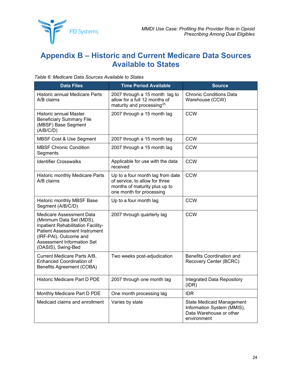

## <span id="page-26-0"></span>**Appendix B – Historic and Current Medicare Data Sources Available to States**

| <b>Data Files</b>                                                                                                                                                                                                | <b>Time Period Available</b>                                                                                                    | <b>Source</b>                                                                                            |
|------------------------------------------------------------------------------------------------------------------------------------------------------------------------------------------------------------------|---------------------------------------------------------------------------------------------------------------------------------|----------------------------------------------------------------------------------------------------------|
| Historic annual Medicare Parts<br>A/B claims                                                                                                                                                                     | 2007 through a 15 month lag to<br>allow for a full 12 months of<br>maturity and processing <sup>25</sup>                        | <b>Chronic Conditions Data</b><br>Warehouse (CCW)                                                        |
| <b>Historic annual Master</b><br><b>Beneficiary Summary File</b><br>(MBSF) Base Segment<br>(A/B/C/D)                                                                                                             | 2007 through a 15 month lag                                                                                                     | <b>CCW</b>                                                                                               |
| MBSF Cost & Use Segment                                                                                                                                                                                          | 2007 through a 15 month lag                                                                                                     | <b>CCW</b>                                                                                               |
| <b>MBSF Chronic Condition</b><br>Segments                                                                                                                                                                        | 2007 through a 15 month lag                                                                                                     | <b>CCW</b>                                                                                               |
| <b>Identifier Crosswalks</b>                                                                                                                                                                                     | Applicable for use with the data<br>received                                                                                    | <b>CCW</b>                                                                                               |
| Historic monthly Medicare Parts<br>A/B claims                                                                                                                                                                    | Up to a four month lag from date<br>of service, to allow for three<br>months of maturity plus up to<br>one month for processing | <b>CCW</b>                                                                                               |
| Historic monthly MBSF Base<br>Segment (A/B/C/D)                                                                                                                                                                  | Up to a four month lag                                                                                                          | <b>CCW</b>                                                                                               |
| Medicare Assessment Data<br>(Minimum Data Set (MDS),<br>Inpatient Rehabilitation Facility-<br><b>Patient Assessment Instrument</b><br>(IRF-PAI), Outcome and<br>Assessment Information Set<br>(OASIS), Swing-Bed | 2007 through quarterly lag                                                                                                      | <b>CCW</b>                                                                                               |
| Current Medicare Parts A/B,<br><b>Enhanced Coordination of</b><br><b>Benefits Agreement (COBA)</b>                                                                                                               | Two weeks post-adjudication                                                                                                     | <b>Benefits Coordination and</b><br>Recovery Center (BCRC)                                               |
| Historic Medicare Part D PDE                                                                                                                                                                                     | 2007 through one month lag                                                                                                      | Integrated Data Repository<br>(IDR)                                                                      |
| Monthly Medicare Part D PDE                                                                                                                                                                                      | One month processing lag                                                                                                        | <b>IDR</b>                                                                                               |
| Medicaid claims and enrollment                                                                                                                                                                                   | Varies by state                                                                                                                 | <b>State Medicaid Management</b><br>Information System (MMIS),<br>Data Warehouse or other<br>environment |

<span id="page-26-1"></span>*Table 6: Medicare Data Sources Available to States*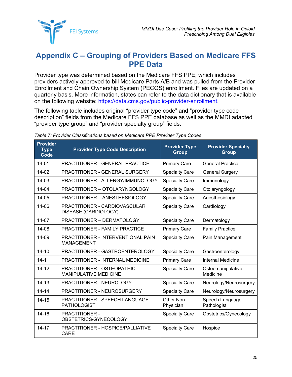

### <span id="page-27-0"></span>**Appendix C – Grouping of Providers Based on Medicare FFS PPE Data**

Provider type was determined based on the Medicare FFS PPE, which includes providers actively approved to bill Medicare Parts A/B and was pulled from the Provider Enrollment and Chain Ownership System (PECOS) enrollment. Files are updated on a quarterly basis. More information, states can refer to the data dictionary that is available on the following website: [https://data.cms.gov/public-provider-enrollment.](https://data.cms.gov/public-provider-enrollment)

The following table includes original "provider type code" and "provider type code description" fields from the Medicare FFS PPE database as well as the MMDI adapted "provider type group" and "provider specialty group" fields.

| <b>Provider</b><br><b>Type</b><br>Code | <b>Provider Type Code Description</b>                      | <b>Provider Type</b><br><b>Group</b> | <b>Provider Specialty</b><br><b>Group</b> |
|----------------------------------------|------------------------------------------------------------|--------------------------------------|-------------------------------------------|
| $14 - 01$                              | <b>PRACTITIONER - GENERAL PRACTICE</b>                     | <b>Primary Care</b>                  | <b>General Practice</b>                   |
| 14-02                                  | <b>PRACTITIONER - GENERAL SURGERY</b>                      | <b>Specialty Care</b>                | <b>General Surgery</b>                    |
| 14-03                                  | PRACTITIONER - ALLERGY/IMMUNOLOGY                          | <b>Specialty Care</b>                | Immunology                                |
| 14-04                                  | PRACTITIONER - OTOLARYNGOLOGY                              | <b>Specialty Care</b>                | Otolaryngology                            |
| 14-05                                  | PRACTITIONER - ANESTHESIOLOGY                              | <b>Specialty Care</b>                | Anesthesiology                            |
| 14-06                                  | PRACTITIONER - CARDIOVASCULAR<br>DISEASE (CARDIOLOGY)      | <b>Specialty Care</b>                | Cardiology                                |
| 14-07                                  | PRACTITIONER - DERMATOLOGY                                 | <b>Specialty Care</b>                | Dermatology                               |
| 14-08                                  | <b>PRACTITIONER - FAMILY PRACTICE</b>                      | <b>Primary Care</b>                  | <b>Family Practice</b>                    |
| 14-09                                  | PRACTITIONER - INTERVENTIONAL PAIN<br><b>MANAGEMENT</b>    | <b>Specialty Care</b>                | Pain Management                           |
| $14 - 10$                              | PRACTITIONER - GASTROENTEROLOGY                            | <b>Specialty Care</b>                | Gastroenterology                          |
| $14 - 11$                              | PRACTITIONER - INTERNAL MEDICINE                           | <b>Primary Care</b>                  | <b>Internal Medicine</b>                  |
| $14 - 12$                              | PRACTITIONER - OSTEOPATHIC<br><b>MANIPULATIVE MEDICINE</b> | <b>Specialty Care</b>                | Osteomanipulative<br>Medicine             |
| $14 - 13$                              | PRACTITIONER - NEUROLOGY                                   | <b>Specialty Care</b>                | Neurology/Neurosurgery                    |
| $14 - 14$                              | PRACTITIONER - NEUROSURGERY                                | <b>Specialty Care</b>                | Neurology/Neurosurgery                    |
| $14 - 15$                              | PRACTITIONER - SPEECH LANGUAGE<br><b>PATHOLOGIST</b>       | Other Non-<br>Physician              | Speech Language<br>Pathologist            |
| $14 - 16$                              | <b>PRACTITIONER -</b><br>OBSTETRICS/GYNECOLOGY             | <b>Specialty Care</b>                | Obstetrics/Gynecology                     |
| $14 - 17$                              | PRACTITIONER - HOSPICE/PALLIATIVE<br><b>CARE</b>           | <b>Specialty Care</b>                | Hospice                                   |

<span id="page-27-1"></span>*Table 7: Provider Classifications based on Medicare PPE Provider Type Codes*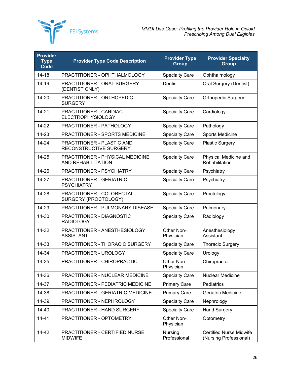

| <b>Provider</b><br><b>Type</b><br>Code | <b>Provider Type Code Description</b>                         | <b>Provider Type</b><br><b>Group</b> | <b>Provider Specialty</b><br><b>Group</b>                |
|----------------------------------------|---------------------------------------------------------------|--------------------------------------|----------------------------------------------------------|
| $14 - 18$                              | PRACTITIONER - OPHTHALMOLOGY                                  | <b>Specialty Care</b>                | Ophthalmology                                            |
| 14-19                                  | PRACTITIONER - ORAL SURGERY<br>(DENTIST ONLY)                 | Dentist                              | Oral Surgery (Dentist)                                   |
| 14-20                                  | PRACTITIONER - ORTHOPEDIC<br><b>SURGERY</b>                   | <b>Specialty Care</b>                | <b>Orthopedic Surgery</b>                                |
| $14 - 21$                              | PRACTITIONER - CARDIAC<br><b>ELECTROPHYSIOLOGY</b>            | <b>Specialty Care</b>                | Cardiology                                               |
| 14-22                                  | PRACTITIONER - PATHOLOGY                                      | <b>Specialty Care</b>                | Pathology                                                |
| 14-23                                  | PRACTITIONER - SPORTS MEDICINE                                | <b>Specialty Care</b>                | Sports Medicine                                          |
| 14-24                                  | PRACTITIONER - PLASTIC AND<br>RECONSTRUCTIVE SURGERY          | <b>Specialty Care</b>                | <b>Plastic Surgery</b>                                   |
| 14-25                                  | PRACTITIONER - PHYSICAL MEDICINE<br><b>AND REHABILITATION</b> | <b>Specialty Care</b>                | Physical Medicine and<br>Rehabilitation                  |
| 14-26                                  | PRACTITIONER - PSYCHIATRY                                     | <b>Specialty Care</b>                | Psychiatry                                               |
| 14-27                                  | <b>PRACTITIONER - GERIATRIC</b><br><b>PSYCHIATRY</b>          | <b>Specialty Care</b>                | Psychiatry                                               |
| 14-28                                  | PRACTITIONER - COLORECTAL<br>SURGERY (PROCTOLOGY)             | <b>Specialty Care</b>                | Proctology                                               |
| 14-29                                  | PRACTITIONER - PULMONARY DISEASE                              | <b>Specialty Care</b>                | Pulmonary                                                |
| 14-30                                  | PRACTITIONER - DIAGNOSTIC<br><b>RADIOLOGY</b>                 | <b>Specialty Care</b>                | Radiology                                                |
| 14-32                                  | PRACTITIONER - ANESTHESIOLOGY<br><b>ASSISTANT</b>             | Other Non-<br>Physician              | Anesthesiology<br>Assistant                              |
| 14-33                                  | PRACTITIONER - THORACIC SURGERY                               | <b>Specialty Care</b>                | <b>Thoracic Surgery</b>                                  |
| 14-34                                  | PRACTITIONER - UROLOGY                                        | <b>Specialty Care</b>                | Urology                                                  |
| 14-35                                  | PRACTITIONER - CHIROPRACTIC                                   | Other Non-<br>Physician              | Chiropractor                                             |
| 14-36                                  | PRACTITIONER - NUCLEAR MEDICINE                               | <b>Specialty Care</b>                | Nuclear Medicine                                         |
| 14-37                                  | PRACTITIONER - PEDIATRIC MEDICINE                             | <b>Primary Care</b>                  | Pediatrics                                               |
| 14-38                                  | PRACTITIONER - GERIATRIC MEDICINE                             | <b>Primary Care</b>                  | Geriatric Medicine                                       |
| 14-39                                  | PRACTITIONER - NEPHROLOGY                                     | <b>Specialty Care</b>                | Nephrology                                               |
| 14-40                                  | PRACTITIONER - HAND SURGERY                                   | <b>Specialty Care</b>                | <b>Hand Surgery</b>                                      |
| $14 - 41$                              | PRACTITIONER - OPTOMETRY                                      | Other Non-<br>Physician              | Optometry                                                |
| 14-42                                  | PRACTITIONER - CERTIFIED NURSE<br><b>MIDWIFE</b>              | Nursing<br>Professional              | <b>Certified Nurse Midwife</b><br>(Nursing Professional) |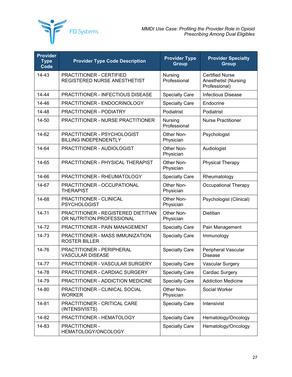

| <b>Provider</b><br><b>Type</b><br>Code | <b>Provider Type Code Description</b>                            | <b>Provider Type</b><br><b>Group</b> | <b>Provider Specialty</b><br><b>Group</b>                              |
|----------------------------------------|------------------------------------------------------------------|--------------------------------------|------------------------------------------------------------------------|
| $14 - 43$                              | PRACTITIONER - CERTIFIED<br>REGISTERED NURSE ANESTHETIST         | Nursing<br>Professional              | <b>Certified Nurse</b><br><b>Anesthetist (Nursing</b><br>Professional) |
| $14 - 44$                              | PRACTITIONER - INFECTIOUS DISEASE                                | <b>Specialty Care</b>                | <b>Infectious Disease</b>                                              |
| 14-46                                  | PRACTITIONER - ENDOCRINOLOGY                                     | <b>Specialty Care</b>                | Endocrine                                                              |
| 14-48                                  | PRACTITIONER - PODIATRY                                          | Podiatrist                           | Podiatrist                                                             |
| 14-50                                  | PRACTITIONER - NURSE PRACTITIONER                                | Nursing<br>Professional              | <b>Nurse Practitioner</b>                                              |
| 14-62                                  | PRACTITIONER - PSYCHOLOGIST<br><b>BILLING INDEPENDENTLY</b>      | Other Non-<br>Physician              | Psychologist                                                           |
| 14-64                                  | PRACTITIONER - AUDIOLOGIST                                       | Other Non-<br>Physician              | Audiologist                                                            |
| 14-65                                  | PRACTITIONER - PHYSICAL THERAPIST                                | Other Non-<br>Physician              | <b>Physical Therapy</b>                                                |
| 14-66                                  | PRACTITIONER - RHEUMATOLOGY                                      | <b>Specialty Care</b>                | Rheumatology                                                           |
| 14-67                                  | PRACTITIONER - OCCUPATIONAL<br><b>THERAPIST</b>                  | Other Non-<br>Physician              | Occupational Therapy                                                   |
| 14-68                                  | PRACTITIONER - CLINICAL<br><b>PSYCHOLOGIST</b>                   | Other Non-<br>Physician              | Psychologist (Clinical)                                                |
| $14 - 71$                              | PRACTITIONER - REGISTERED DIETITIAN<br>OR NUTRITION PROFESSIONAL | Other Non-<br>Physician              | <b>Dietitian</b>                                                       |
| 14-72                                  | PRACTITIONER - PAIN MANAGEMENT                                   | <b>Specialty Care</b>                | Pain Management                                                        |
| 14-73                                  | PRACTITIONER - MASS IMMUNIZATION<br><b>ROSTER BILLER</b>         | <b>Specialty Care</b>                | Immunology                                                             |
| 14-76                                  | PRACTITIONER - PERIPHERAL<br><b>VASCULAR DISEASE</b>             | <b>Specialty Care</b>                | Peripheral Vascular<br><b>Disease</b>                                  |
| 14-77                                  | PRACTITIONER - VASCULAR SURGERY                                  | <b>Specialty Care</b>                | <b>Vascular Surgery</b>                                                |
| 14-78                                  | PRACTITIONER - CARDIAC SURGERY                                   | <b>Specialty Care</b>                | Cardiac Surgery                                                        |
| 14-79                                  | PRACTITIONER - ADDICTION MEDICINE                                | <b>Specialty Care</b>                | <b>Addiction Medicine</b>                                              |
| 14-80                                  | PRACTITIONER - CLINICAL SOCIAL<br><b>WORKER</b>                  | Other Non-<br>Physician              | Social Worker                                                          |
| 14-81                                  | PRACTITIONER - CRITICAL CARE<br>(INTENSIVISTS)                   | <b>Specialty Care</b>                | Intensivist                                                            |
| 14-82                                  | PRACTITIONER - HEMATOLOGY                                        | <b>Specialty Care</b>                | Hematology/Oncology                                                    |
| 14-83                                  | PRACTITIONER -<br>HEMATOLOGY/ONCOLOGY                            | <b>Specialty Care</b>                | Hematology/Oncology                                                    |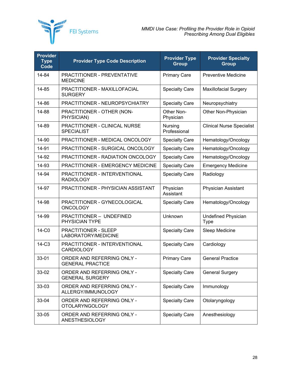

| <b>Provider</b><br><b>Type</b><br>Code | <b>Provider Type Code Description</b>                 | <b>Provider Type</b><br><b>Group</b> | <b>Provider Specialty</b><br><b>Group</b> |
|----------------------------------------|-------------------------------------------------------|--------------------------------------|-------------------------------------------|
| 14-84                                  | <b>PRACTITIONER - PREVENTATIVE</b><br><b>MEDICINE</b> | <b>Primary Care</b>                  | <b>Preventive Medicine</b>                |
| 14-85                                  | PRACTITIONER - MAXILLOFACIAL<br><b>SURGERY</b>        | <b>Specialty Care</b>                | <b>Maxillofacial Surgery</b>              |
| 14-86                                  | PRACTITIONER - NEUROPSYCHIATRY                        | <b>Specialty Care</b>                | Neuropsychiatry                           |
| 14-88                                  | PRACTITIONER - OTHER (NON-<br>PHYSICIAN)              | Other Non-<br>Physician              | Other Non-Physician                       |
| 14-89                                  | PRACTITIONER - CLINICAL NURSE<br><b>SPECIALIST</b>    | Nursing<br>Professional              | <b>Clinical Nurse Specialist</b>          |
| 14-90                                  | PRACTITIONER - MEDICAL ONCOLOGY                       | <b>Specialty Care</b>                | Hematology/Oncology                       |
| 14-91                                  | PRACTITIONER - SURGICAL ONCOLOGY                      | <b>Specialty Care</b>                | Hematology/Oncology                       |
| 14-92                                  | PRACTITIONER - RADIATION ONCOLOGY                     | <b>Specialty Care</b>                | Hematology/Oncology                       |
| 14-93                                  | <b>PRACTITIONER - EMERGENCY MEDICINE</b>              | <b>Specialty Care</b>                | <b>Emergency Medicine</b>                 |
| 14-94                                  | PRACTITIONER - INTERVENTIONAL<br><b>RADIOLOGY</b>     | <b>Specialty Care</b>                | Radiology                                 |
| 14-97                                  | PRACTITIONER - PHYSICIAN ASSISTANT                    | Physician<br>Assistant               | <b>Physician Assistant</b>                |
| 14-98                                  | PRACTITIONER - GYNECOLOGICAL<br><b>ONCOLOGY</b>       | <b>Specialty Care</b>                | Hematology/Oncology                       |
| 14-99                                  | PRACTITIONER - UNDEFINED<br>PHYSICIAN TYPE            | Unknown                              | <b>Undefined Physician</b><br><b>Type</b> |
| 14-C0                                  | PRACTITIONER - SLEEP<br>LABORATORY/MEDICINE           | <b>Specialty Care</b>                | Sleep Medicine                            |
| 14-C3                                  | PRACTITIONER - INTERVENTIONAL<br><b>CARDIOLOGY</b>    | <b>Specialty Care</b>                | Cardiology                                |
| 33-01                                  | ORDER AND REFERRING ONLY -<br><b>GENERAL PRACTICE</b> | <b>Primary Care</b>                  | <b>General Practice</b>                   |
| 33-02                                  | ORDER AND REFERRING ONLY -<br><b>GENERAL SURGERY</b>  | <b>Specialty Care</b>                | <b>General Surgery</b>                    |
| 33-03                                  | ORDER AND REFERRING ONLY -<br>ALLERGY/IMMUNOLOGY      | <b>Specialty Care</b>                | Immunology                                |
| 33-04                                  | ORDER AND REFERRING ONLY -<br><b>OTOLARYNGOLOGY</b>   | <b>Specialty Care</b>                | Otolaryngology                            |
| 33-05                                  | ORDER AND REFERRING ONLY -<br><b>ANESTHESIOLOGY</b>   | <b>Specialty Care</b>                | Anesthesiology                            |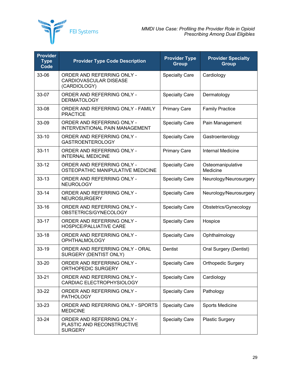

| <b>Provider</b><br><b>Type</b><br>Code | <b>Provider Type Code Description</b>                                       | <b>Provider Type</b><br><b>Group</b> | <b>Provider Specialty</b><br><b>Group</b> |
|----------------------------------------|-----------------------------------------------------------------------------|--------------------------------------|-------------------------------------------|
| 33-06                                  | ORDER AND REFERRING ONLY -<br><b>CARDIOVASCULAR DISEASE</b><br>(CARDIOLOGY) | <b>Specialty Care</b>                | Cardiology                                |
| 33-07                                  | ORDER AND REFERRING ONLY -<br><b>DERMATOLOGY</b>                            | <b>Specialty Care</b>                | Dermatology                               |
| 33-08                                  | ORDER AND REFERRING ONLY - FAMILY<br><b>PRACTICE</b>                        | <b>Primary Care</b>                  | <b>Family Practice</b>                    |
| 33-09                                  | ORDER AND REFERRING ONLY -<br>INTERVENTIONAL PAIN MANAGEMENT                | <b>Specialty Care</b>                | Pain Management                           |
| $33 - 10$                              | ORDER AND REFERRING ONLY -<br><b>GASTROENTEROLOGY</b>                       | <b>Specialty Care</b>                | Gastroenterology                          |
| $33 - 11$                              | ORDER AND REFERRING ONLY -<br><b>INTERNAL MEDICINE</b>                      | <b>Primary Care</b>                  | <b>Internal Medicine</b>                  |
| $33 - 12$                              | ORDER AND REFERRING ONLY -<br>OSTEOPATHIC MANIPULATIVE MEDICINE             | <b>Specialty Care</b>                | Osteomanipulative<br>Medicine             |
| $33 - 13$                              | ORDER AND REFERRING ONLY -<br><b>NEUROLOGY</b>                              | <b>Specialty Care</b>                | Neurology/Neurosurgery                    |
| $33 - 14$                              | ORDER AND REFERRING ONLY -<br><b>NEUROSURGERY</b>                           | <b>Specialty Care</b>                | Neurology/Neurosurgery                    |
| $33 - 16$                              | ORDER AND REFERRING ONLY -<br>OBSTETRICS/GYNECOLOGY                         | <b>Specialty Care</b>                | Obstetrics/Gynecology                     |
| $33 - 17$                              | ORDER AND REFERRING ONLY -<br><b>HOSPICE/PALLIATIVE CARE</b>                | <b>Specialty Care</b>                | Hospice                                   |
| $33 - 18$                              | ORDER AND REFERRING ONLY -<br><b>OPHTHALMOLOGY</b>                          | <b>Specialty Care</b>                | Ophthalmology                             |
| 33-19                                  | ORDER AND REFERRING ONLY - ORAL<br>SURGERY (DENTIST ONLY)                   | Dentist                              | <b>Oral Surgery (Dentist)</b>             |
| 33-20                                  | ORDER AND REFERRING ONLY -<br>ORTHOPEDIC SURGERY                            | <b>Specialty Care</b>                | <b>Orthopedic Surgery</b>                 |
| $33 - 21$                              | ORDER AND REFERRING ONLY -<br>CARDIAC ELECTROPHYSIOLOGY                     | <b>Specialty Care</b>                | Cardiology                                |
| 33-22                                  | ORDER AND REFERRING ONLY -<br><b>PATHOLOGY</b>                              | <b>Specialty Care</b>                | Pathology                                 |
| $33 - 23$                              | ORDER AND REFERRING ONLY - SPORTS<br><b>MEDICINE</b>                        | <b>Specialty Care</b>                | Sports Medicine                           |
| $33 - 24$                              | ORDER AND REFERRING ONLY -<br>PLASTIC AND RECONSTRUCTIVE<br><b>SURGERY</b>  | <b>Specialty Care</b>                | <b>Plastic Surgery</b>                    |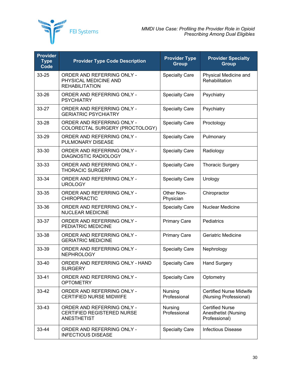

| <b>Provider</b><br><b>Type</b><br>Code | <b>Provider Type Code Description</b>                                          | <b>Provider Type</b><br><b>Group</b> | <b>Provider Specialty</b><br><b>Group</b>                       |
|----------------------------------------|--------------------------------------------------------------------------------|--------------------------------------|-----------------------------------------------------------------|
| 33-25                                  | ORDER AND REFERRING ONLY -<br>PHYSICAL MEDICINE AND<br><b>REHABILITATION</b>   | <b>Specialty Care</b>                | Physical Medicine and<br>Rehabilitation                         |
| 33-26                                  | ORDER AND REFERRING ONLY -<br><b>PSYCHIATRY</b>                                | <b>Specialty Care</b>                | Psychiatry                                                      |
| $33 - 27$                              | ORDER AND REFERRING ONLY -<br><b>GERIATRIC PSYCHIATRY</b>                      | <b>Specialty Care</b>                | Psychiatry                                                      |
| $33 - 28$                              | ORDER AND REFERRING ONLY -<br>COLORECTAL SURGERY (PROCTOLOGY)                  | <b>Specialty Care</b>                | Proctology                                                      |
| 33-29                                  | ORDER AND REFERRING ONLY -<br>PULMONARY DISEASE                                | <b>Specialty Care</b>                | Pulmonary                                                       |
| 33-30                                  | ORDER AND REFERRING ONLY -<br><b>DIAGNOSTIC RADIOLOGY</b>                      | <b>Specialty Care</b>                | Radiology                                                       |
| 33-33                                  | ORDER AND REFERRING ONLY -<br><b>THORACIC SURGERY</b>                          | <b>Specialty Care</b>                | <b>Thoracic Surgery</b>                                         |
| 33-34                                  | ORDER AND REFERRING ONLY -<br><b>UROLOGY</b>                                   | <b>Specialty Care</b>                | Urology                                                         |
| 33-35                                  | ORDER AND REFERRING ONLY -<br><b>CHIROPRACTIC</b>                              | Other Non-<br>Physician              | Chiropractor                                                    |
| 33-36                                  | ORDER AND REFERRING ONLY -<br><b>NUCLEAR MEDICINE</b>                          | <b>Specialty Care</b>                | Nuclear Medicine                                                |
| 33-37                                  | ORDER AND REFERRING ONLY -<br>PEDIATRIC MEDICINE                               | <b>Primary Care</b>                  | Pediatrics                                                      |
| 33-38                                  | ORDER AND REFERRING ONLY -<br><b>GERIATRIC MEDICINE</b>                        | <b>Primary Care</b>                  | <b>Geriatric Medicine</b>                                       |
| 33-39                                  | ORDER AND REFERRING ONLY -<br><b>NEPHROLOGY</b>                                | <b>Specialty Care</b>                | Nephrology                                                      |
| 33-40                                  | ORDER AND REFERRING ONLY - HAND<br><b>SURGERY</b>                              | <b>Specialty Care</b>                | <b>Hand Surgery</b>                                             |
| $33 - 41$                              | ORDER AND REFERRING ONLY -<br><b>OPTOMETRY</b>                                 | <b>Specialty Care</b>                | Optometry                                                       |
| 33-42                                  | ORDER AND REFERRING ONLY -<br><b>CERTIFIED NURSE MIDWIFE</b>                   | Nursing<br>Professional              | <b>Certified Nurse Midwife</b><br>(Nursing Professional)        |
| $33 - 43$                              | ORDER AND REFERRING ONLY -<br><b>CERTIFIED REGISTERED NURSE</b><br>ANESTHETIST | Nursing<br>Professional              | <b>Certified Nurse</b><br>Anesthetist (Nursing<br>Professional) |
| 33-44                                  | ORDER AND REFERRING ONLY -<br><b>INFECTIOUS DISEASE</b>                        | <b>Specialty Care</b>                | <b>Infectious Disease</b>                                       |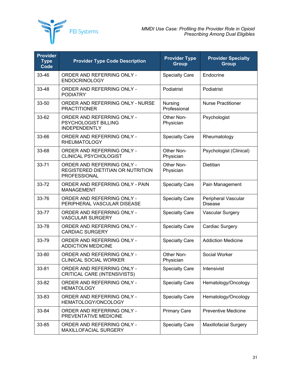

| <b>Provider</b><br><b>Type</b><br>Code | <b>Provider Type Code Description</b>                                                  | <b>Provider Type</b><br><b>Group</b> | <b>Provider Specialty</b><br><b>Group</b> |
|----------------------------------------|----------------------------------------------------------------------------------------|--------------------------------------|-------------------------------------------|
| 33-46                                  | ORDER AND REFERRING ONLY -<br><b>ENDOCRINOLOGY</b>                                     | <b>Specialty Care</b>                | Endocrine                                 |
| 33-48                                  | ORDER AND REFERRING ONLY -<br><b>PODIATRY</b>                                          | Podiatrist                           | Podiatrist                                |
| 33-50                                  | ORDER AND REFERRING ONLY - NURSE<br><b>PRACTITIONER</b>                                | Nursing<br>Professional              | <b>Nurse Practitioner</b>                 |
| 33-62                                  | ORDER AND REFERRING ONLY -<br>PSYCHOLOGIST BILLING<br><b>INDEPENDENTLY</b>             | Other Non-<br>Physician              | Psychologist                              |
| 33-66                                  | ORDER AND REFERRING ONLY -<br><b>RHEUMATOLOGY</b>                                      | <b>Specialty Care</b>                | Rheumatology                              |
| 33-68                                  | ORDER AND REFERRING ONLY -<br><b>CLINICAL PSYCHOLOGIST</b>                             | Other Non-<br>Physician              | Psychologist (Clinical)                   |
| 33-71                                  | ORDER AND REFERRING ONLY -<br>REGISTERED DIETITIAN OR NUTRITION<br><b>PROFESSIONAL</b> | Other Non-<br>Physician              | <b>Dietitian</b>                          |
| 33-72                                  | ORDER AND REFERRING ONLY - PAIN<br><b>MANAGEMENT</b>                                   | <b>Specialty Care</b>                | Pain Management                           |
| 33-76                                  | ORDER AND REFERRING ONLY -<br>PERIPHERAL VASCULAR DISEASE                              | <b>Specialty Care</b>                | Peripheral Vascular<br><b>Disease</b>     |
| 33-77                                  | ORDER AND REFERRING ONLY -<br><b>VASCULAR SURGERY</b>                                  | <b>Specialty Care</b>                | <b>Vascular Surgery</b>                   |
| 33-78                                  | ORDER AND REFERRING ONLY -<br><b>CARDIAC SURGERY</b>                                   | <b>Specialty Care</b>                | Cardiac Surgery                           |
| 33-79                                  | ORDER AND REFERRING ONLY -<br><b>ADDICTION MEDICINE</b>                                | <b>Specialty Care</b>                | <b>Addiction Medicine</b>                 |
| 33-80                                  | ORDER AND REFERRING ONLY -<br><b>CLINICAL SOCIAL WORKER</b>                            | Other Non-<br>Physician              | Social Worker                             |
| 33-81                                  | ORDER AND REFERRING ONLY -<br>CRITICAL CARE (INTENSIVISTS)                             | <b>Specialty Care</b>                | Intensivist                               |
| 33-82                                  | ORDER AND REFERRING ONLY -<br><b>HEMATOLOGY</b>                                        | <b>Specialty Care</b>                | Hematology/Oncology                       |
| 33-83                                  | ORDER AND REFERRING ONLY -<br>HEMATOLOGY/ONCOLOGY                                      | <b>Specialty Care</b>                | Hematology/Oncology                       |
| 33-84                                  | ORDER AND REFERRING ONLY -<br>PREVENTATIVE MEDICINE                                    | <b>Primary Care</b>                  | <b>Preventive Medicine</b>                |
| 33-85                                  | ORDER AND REFERRING ONLY -<br>MAXILLOFACIAL SURGERY                                    | <b>Specialty Care</b>                | <b>Maxillofacial Surgery</b>              |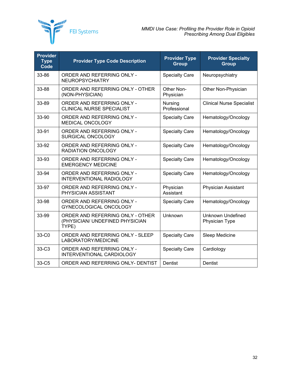

| <b>Provider</b><br><b>Type</b><br>Code | <b>Provider Type Code Description</b>                                        | <b>Provider Type</b><br><b>Group</b> | <b>Provider Specialty</b><br><b>Group</b>  |
|----------------------------------------|------------------------------------------------------------------------------|--------------------------------------|--------------------------------------------|
| 33-86                                  | ORDER AND REFERRING ONLY -<br><b>NEUROPSYCHIATRY</b>                         | <b>Specialty Care</b>                | Neuropsychiatry                            |
| 33-88                                  | ORDER AND REFERRING ONLY - OTHER<br>(NON-PHYSICIAN)                          | Other Non-<br>Physician              | Other Non-Physician                        |
| 33-89                                  | ORDER AND REFERRING ONLY -<br><b>CLINICAL NURSE SPECIALIST</b>               | Nursing<br>Professional              | <b>Clinical Nurse Specialist</b>           |
| 33-90                                  | ORDER AND REFERRING ONLY -<br>MEDICAL ONCOLOGY                               | <b>Specialty Care</b>                | Hematology/Oncology                        |
| 33-91                                  | ORDER AND REFERRING ONLY -<br>SURGICAL ONCOLOGY                              | <b>Specialty Care</b>                | Hematology/Oncology                        |
| 33-92                                  | ORDER AND REFERRING ONLY -<br><b>RADIATION ONCOLOGY</b>                      | <b>Specialty Care</b>                | Hematology/Oncology                        |
| 33-93                                  | ORDER AND REFERRING ONLY -<br><b>EMERGENCY MEDICINE</b>                      | <b>Specialty Care</b>                | Hematology/Oncology                        |
| 33-94                                  | ORDER AND REFERRING ONLY -<br><b>INTERVENTIONAL RADIOLOGY</b>                | <b>Specialty Care</b>                | Hematology/Oncology                        |
| 33-97                                  | ORDER AND REFERRING ONLY -<br>PHYSICIAN ASSISTANT                            | Physician<br>Assistant               | Physician Assistant                        |
| 33-98                                  | ORDER AND REFERRING ONLY -<br>GYNECOLOGICAL ONCOLOGY                         | <b>Specialty Care</b>                | Hematology/Oncology                        |
| 33-99                                  | ORDER AND REFERRING ONLY - OTHER<br>(PHYSICIAN/ UNDEFINED PHYSICIAN<br>TYPE) | Unknown                              | <b>Unknown Undefined</b><br>Physician Type |
| 33-C <sub>0</sub>                      | ORDER AND REFERRING ONLY - SLEEP<br>LABORATORY/MEDICINE                      | <b>Specialty Care</b>                | Sleep Medicine                             |
| 33-C3                                  | ORDER AND REFERRING ONLY -<br>INTERVENTIONAL CARDIOLOGY                      | <b>Specialty Care</b>                | Cardiology                                 |
| 33-C5                                  | ORDER AND REFERRING ONLY- DENTIST                                            | Dentist                              | Dentist                                    |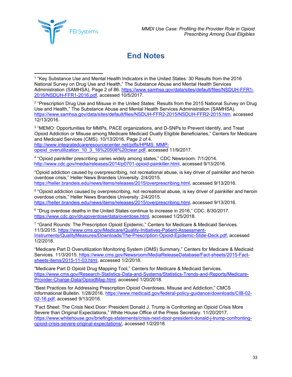**FEI Systems** 

## **End Notes**

<sup>3</sup> "MEMO: Opportunities for MMPs, PACE organizations, and D-SNPs to Prevent Identify, and Treat Opioid Addiction or Misuse among Medicare Medicaid Dually Eligible Beneficiaries," Centers for Medicare and Medicaid Services (CMS). 10/13/2016, Page 2 of 4. [http://www.integratedcareresourcecenter.net/pdfs/HPMS\\_MMP](http://www.integratedcareresourcecenter.net/pdfs/HPMS_MMP-opioid_overutilization_10_3_16%20508%20clear.pdf)[opioid\\_overutilization\\_10\\_3\\_16%20508%20clear.pdf,](http://www.integratedcareresourcecenter.net/pdfs/HPMS_MMP-opioid_overutilization_10_3_16%20508%20clear.pdf) accessed 11/9/2017.

<sup>4</sup> "Opioid painkiller prescribing varies widely among states," CDC Newsroom. 7/1/2014. [http://www.cdc.gov/media/releases/2014/p0701-opioid-painkiller.html,](http://www.cdc.gov/media/releases/2014/p0701-opioid-painkiller.html) accessed 9/13/2016.

"Opioid addiction caused by overprescribing, not recreational abuse, is key driver of painkiller and heroin overdose crisis," Heller News Brandeis University. 2/4/2015. [https://heller.brandeis.edu/news/items/releases/2015/overprescribing.html,](https://heller.brandeis.edu/news/items/releases/2015/overprescribing.html) accessed 9/13/2016.

<sup>5</sup> "Opioid addiction caused by overprescribing, not recreational abuse, is key driver of painkiller and heroin overdose crisis," Heller News Brandeis University. 2/4/2015. [https://heller.brandeis.edu/news/items/releases/2015/overprescribing.html,](https://heller.brandeis.edu/news/items/releases/2015/overprescribing.html) accessed 9/13/2016.

<sup>6</sup> "Drug overdose deaths in the United States continue to increase in 2016," CDC. 8/30/2017. [https://www.cdc.gov/drugoverdose/data/overdose.html,](https://www.cdc.gov/drugoverdose/data/overdose.html) accessed 1/25/2018.

<sup>7</sup> "Grand Rounds: The Prescription Opioid Epidemic," Centers for Medicare & Medicaid Services. 11/3/2015. [https://www.cms.gov/Medicare/Quality-Initiatives-Patient-Assessment-](https://www.cms.gov/Medicare/Quality-Initiatives-Patient-Assessment-Instruments/QualityMeasures/Downloads/The-Prescription-Opioid-Epidemic-Slide-Deck.pdf)[Instruments/QualityMeasures/Downloads/The-Prescription-Opioid-Epidemic-Slide-Deck.pdf,](https://www.cms.gov/Medicare/Quality-Initiatives-Patient-Assessment-Instruments/QualityMeasures/Downloads/The-Prescription-Opioid-Epidemic-Slide-Deck.pdf) accessed 1/2/2018.

"Medicare Part D Overutilization Monitoring System (OMS) Summary," Centers for Medicare & Medicaid Services. 11/3/2015. [https://www.cms.gov/Newsroom/MediaReleaseDatabase/Fact-sheets/2015-Fact](https://www.cms.gov/Newsroom/MediaReleaseDatabase/Fact-sheets/2015-Fact-sheets-items/2015-11-03.html)[sheets-items/2015-11-03.html,](https://www.cms.gov/Newsroom/MediaReleaseDatabase/Fact-sheets/2015-Fact-sheets-items/2015-11-03.html) accessed 1/2/2018.

"Medicare Part D Opioid Drug Mapping Tool," Centers for Medicare & Medicaid Services. [https://www.cms.gov/Research-Statistics-Data-and-Systems/Statistics-Trends-and-Reports/Medicare-](https://www.cms.gov/Research-Statistics-Data-and-Systems/Statistics-Trends-and-Reports/Medicare-Provider-Charge-Data/OpioidMap.html)[Provider-Charge-Data/OpioidMap.html,](https://www.cms.gov/Research-Statistics-Data-and-Systems/Statistics-Trends-and-Reports/Medicare-Provider-Charge-Data/OpioidMap.html) accessed 1/20/2018.

"Best Practices for Addressing Prescription Opioid Overdoses, Misuse and Addiction," CMCS Informational Bulletin. 1/28/2016. [https://www.medicaid.gov/federal-policy-guidance/downloads/CIB-02-](https://www.medicaid.gov/federal-policy-guidance/downloads/CIB-02-02-16.pdf) [02-16.pdf,](https://www.medicaid.gov/federal-policy-guidance/downloads/CIB-02-02-16.pdf) accessed 9/13/2016.

"Fact Sheet: The Crisis Next Door: President Donald J. Trump is Confronting an Opioid Crisis More Severe than Original Expectations," White House Office of the Press Secretary. 11/20/2017. [https://www.whitehouse.gov/briefings-statements/crisis-next-door-president-donald-j-trump-confronting](https://www.whitehouse.gov/briefings-statements/crisis-next-door-president-donald-j-trump-confronting-opioid-crisis-severe-original-expectations/)[opioid-crisis-severe-original-expectations/,](https://www.whitehouse.gov/briefings-statements/crisis-next-door-president-donald-j-trump-confronting-opioid-crisis-severe-original-expectations/) accessed 1/2/2018.

<span id="page-35-0"></span><sup>1</sup> "Key Substance Use and Mental Health Indicators in the United States: 30 Results from the 2016 National Survey on Drug Use and Health," The Substance Abuse and Mental Health Services Administration (SAMHSA), Page 2 of 86. [https://www.samhsa.gov/data/sites/default/files/NSDUH-FFR1-](https://www.samhsa.gov/data/sites/default/files/NSDUH-FFR1-2016/NSDUH-FFR1-2016.pdf) [2016/NSDUH-FFR1-2016.pdf,](https://www.samhsa.gov/data/sites/default/files/NSDUH-FFR1-2016/NSDUH-FFR1-2016.pdf) accessed 10/5/2017.  $\overline{a}$ 

<sup>2</sup> "Prescription Drug Use and Misuse in the United States: Results from the 2015 National Survey on Drug Use and Health," The Substance Abuse and Mental Health Services Administration (SAMHSA). [https://www.samhsa.gov/data/sites/default/files/NSDUH-FFR2-2015/NSDUH-FFR2-2015.htm,](https://www.samhsa.gov/data/sites/default/files/NSDUH-FFR2-2015/NSDUH-FFR2-2015.htm) accessed 12/13/2016.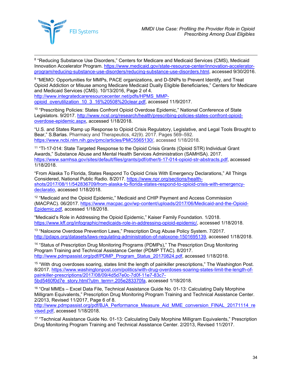

 8 "Reducing Substance Use Disorders," Centers for Medicare and Medicaid Services (CMS), Medicaid Innovation Accelerator Program. [https://www.medicaid.gov/state-resource-center/innovation-accelerator](https://www.medicaid.gov/state-resource-center/innovation-accelerator-program/reducing-substance-use-disorders/reducing-substance-use-disorders.html)[program/reducing-substance-use-disorders/reducing-substance-use-disorders.html,](https://www.medicaid.gov/state-resource-center/innovation-accelerator-program/reducing-substance-use-disorders/reducing-substance-use-disorders.html) accessed 9/30/2016.

<span id="page-36-0"></span>9 "MEMO: Opportunities for MMPs, PACE organizations, and D-SNPs to Prevent Identify, and Treat Opioid Addiction or Misuse among Medicare Medicaid Dually Eligible Beneficiaries," Centers for Medicare and Medicaid Services (CMS). 10/13/2016, Page 2 of 4. [http://www.integratedcareresourcecenter.net/pdfs/HPMS\\_MMP](http://www.integratedcareresourcecenter.net/pdfs/HPMS_MMP-opioid_overutilization_10_3_16%20508%20clear.pdf)[opioid\\_overutilization\\_10\\_3\\_16%20508%20clear.pdf,](http://www.integratedcareresourcecenter.net/pdfs/HPMS_MMP-opioid_overutilization_10_3_16%20508%20clear.pdf) accessed 11/9/2017.

<span id="page-36-1"></span><sup>10</sup> "Prescribing Policies: States Confront Opioid Overdose Epidemic," National Conference of State Legislators. 9/2017. [http://www.ncsl.org/research/health/prescribing-policies-states-confront-opioid](http://www.ncsl.org/research/health/prescribing-policies-states-confront-opioid-overdose-epidemic.aspx)[overdose-epidemic.aspx,](http://www.ncsl.org/research/health/prescribing-policies-states-confront-opioid-overdose-epidemic.aspx) accessed 1/18/2018.

<span id="page-36-2"></span>"U.S. and States Ramp up Response to Opioid Crisis Regulatory, Legislative, and Legal Tools Brought to Bear," S.Barlas. Pharmacy and Therapeutics, 42(9). 2017. Pages 569–592. [https://www.ncbi.nlm.nih.gov/pmc/articles/PMC5565130/,](https://www.ncbi.nlm.nih.gov/pmc/articles/PMC5565130/) accessed 1/18/2018.

<span id="page-36-3"></span><sup>11</sup> "TI-17-014: State Targeted Response to the Opioid Crisis Grants (Opioid STR) Individual Grant Awards," Substance Abuse and Mental Health Services Administration (SAMHSA). 2017. [https://www.samhsa.gov/sites/default/files/grants/pdf/other/ti-17-014-opioid-str-abstracts.pdf,](https://www.samhsa.gov/sites/default/files/grants/pdf/other/ti-17-014-opioid-str-abstracts.pdf) accessed 1/18/2018.

"From Alaska To Florida, States Respond To Opioid Crisis With Emergency Declarations," All Things Considered, National Public Radio. 8/2017. [https://www.npr.org/sections/health](https://www.npr.org/sections/health-shots/2017/08/11/542836709/from-alaska-to-florida-states-respond-to-opioid-crisis-with-emergency-declaratio)[shots/2017/08/11/542836709/from-alaska-to-florida-states-respond-to-opioid-crisis-with-emergency](https://www.npr.org/sections/health-shots/2017/08/11/542836709/from-alaska-to-florida-states-respond-to-opioid-crisis-with-emergency-declaratio)[declaratio,](https://www.npr.org/sections/health-shots/2017/08/11/542836709/from-alaska-to-florida-states-respond-to-opioid-crisis-with-emergency-declaratio) accessed 1/18/2018.

<span id="page-36-4"></span><sup>12</sup> "Medicaid and the Opioid Epidemic," Medicaid and CHIP Payment and Access Commission (MACPAC). 06/2017. [https://www.macpac.gov/wp-content/uploads/2017/06/Medicaid-and-the-Opioid-](https://www.macpac.gov/wp-content/uploads/2017/06/Medicaid-and-the-Opioid-Epidemic.pdf)[Epidemic.pdf,](https://www.macpac.gov/wp-content/uploads/2017/06/Medicaid-and-the-Opioid-Epidemic.pdf) accessed 1/18/2018.

<span id="page-36-5"></span>"Medicaid's Role in Addressing the Opioid Epidemic," Kaiser Family Foundation. 1/2018. [https://www.kff.org/infographic/medicaids-role-in-addressing-opioid-epidemic/,](https://www.kff.org/infographic/medicaids-role-in-addressing-opioid-epidemic/) accessed 1/18/2018.

<span id="page-36-6"></span><sup>13</sup> "Naloxone Overdose Prevention Laws," Prescription Drug Abuse Policy System. 7/2017. [http://pdaps.org/datasets/laws-regulating-administration-of-naloxone-1501695139,](http://pdaps.org/datasets/laws-regulating-administration-of-naloxone-1501695139) accessed 1/18/2018.

<sup>14</sup> "Status of Prescription Drug Monitoring Programs (PDMPs)," The Prescription Drug Monitoring Program Training and Technical Assistance Center (PDMP TTAC). 8/2017. [http://www.pdmpassist.org/pdf/PDMP\\_Program\\_Status\\_20170824.pdf,](http://www.pdmpassist.org/pdf/PDMP_Program_Status_20170824.pdf) accessed 1/18/2018.

<sup>15</sup> "With drug overdoses soaring, states limit the length of painkiller prescriptions," The Washington Post. 8/2017. [https://www.washingtonpost.com/politics/with-drug-overdoses-soaring-states-limit-the-length-of](https://www.washingtonpost.com/politics/with-drug-overdoses-soaring-states-limit-the-length-of-painkiller-prescriptions/2017/08/09/4d5d7e0c-7d0f-11e7-83c7-5bd5460f0d7e_story.html?utm_term=.205e283370fa)[painkiller-prescriptions/2017/08/09/4d5d7e0c-7d0f-11e7-83c7-](https://www.washingtonpost.com/politics/with-drug-overdoses-soaring-states-limit-the-length-of-painkiller-prescriptions/2017/08/09/4d5d7e0c-7d0f-11e7-83c7-5bd5460f0d7e_story.html?utm_term=.205e283370fa) [5bd5460f0d7e\\_story.html?utm\\_term=.205e283370fa,](https://www.washingtonpost.com/politics/with-drug-overdoses-soaring-states-limit-the-length-of-painkiller-prescriptions/2017/08/09/4d5d7e0c-7d0f-11e7-83c7-5bd5460f0d7e_story.html?utm_term=.205e283370fa) accessed 1/18/2018.

<sup>16</sup> "Oral MMEs – Excel Data File, Technical Assistance Guide No. 01-13: Calculating Daily Morphine Milligram Equivalents," Prescription Drug Monitoring Program Training and Technical Assistance Center. 2/2013, Revised 11/2017, Page 6 of 8.

[http://www.pdmpassist.org/pdf/BJA\\_Performance\\_Measure\\_Aid\\_MME\\_conversion\\_FINAL\\_20171114\\_re](http://www.pdmpassist.org/pdf/BJA_Performance_Measure_Aid_MME_conversion_FINAL_20171114_revised.pdf) [vised.pdf,](http://www.pdmpassist.org/pdf/BJA_Performance_Measure_Aid_MME_conversion_FINAL_20171114_revised.pdf) accessed 1/18/2018.

<sup>17</sup> "Technical Assistance Guide No. 01-13: Calculating Daily Morphine Milligram Equivalents," Prescription Drug Monitoring Program Training and Technical Assistance Center. 2/2013, Revised 11/2017.